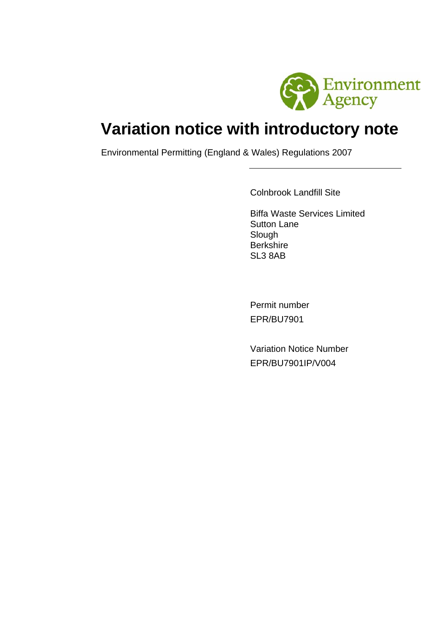

# **Variation notice with introductory note**

Environmental Permitting (England & Wales) Regulations 2007

Colnbrook Landfill Site

Biffa Waste Services Limited Sutton Lane **Slough Berkshire** SL3 8AB

Permit number EPR/BU7901

Variation Notice Number EPR/BU7901IP/V004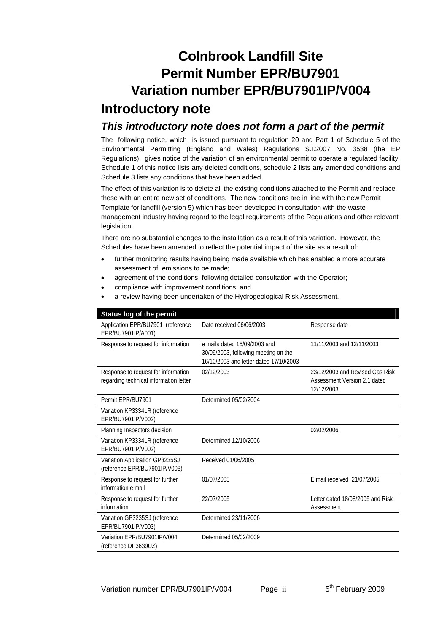# **Colnbrook Landfill Site Permit Number EPR/BU7901 Variation number EPR/BU7901IP/V004**

## **Introductory note**

#### *This introductory note does not form a part of the permit*

The following notice, which is issued pursuant to regulation 20 and Part 1 of Schedule 5 of the Environmental Permitting (England and Wales) Regulations S.I.2007 No. 3538 (the EP Regulations), gives notice of the variation of an environmental permit to operate a regulated facility*.* Schedule 1 of this notice lists any deleted conditions, schedule 2 lists any amended conditions and Schedule 3 lists any conditions that have been added.

The effect of this variation is to delete all the existing conditions attached to the Permit and replace these with an entire new set of conditions. The new conditions are in line with the new Permit Template for landfill (version 5) which has been developed in consultation with the waste management industry having regard to the legal requirements of the Regulations and other relevant legislation.

There are no substantial changes to the installation as a result of this variation. However, the Schedules have been amended to reflect the potential impact of the site as a result of:

- further monitoring results having being made available which has enabled a more accurate assessment of emissions to be made;
- agreement of the conditions, following detailed consultation with the Operator;
- compliance with improvement conditions; and
- a review having been undertaken of the Hydrogeological Risk Assessment.

| <b>Status log of the permit</b>                                               |                                                                                                                |                                                                                |
|-------------------------------------------------------------------------------|----------------------------------------------------------------------------------------------------------------|--------------------------------------------------------------------------------|
| Application EPR/BU7901 (reference<br>EPR/BU7901IP/A001)                       | Date received 06/06/2003                                                                                       | Response date                                                                  |
| Response to request for information                                           | e mails dated 15/09/2003 and<br>30/09/2003, following meeting on the<br>16/10/2003 and letter dated 17/10/2003 | 11/11/2003 and 12/11/2003                                                      |
| Response to request for information<br>regarding technical information letter | 02/12/2003                                                                                                     | 23/12/2003 and Revised Gas Risk<br>Assessment Version 2.1 dated<br>12/12/2003. |
| Permit EPR/BU7901                                                             | Determined 05/02/2004                                                                                          |                                                                                |
| Variation KP3334LR (reference<br>EPR/BU7901IP/V002)                           |                                                                                                                |                                                                                |
| Planning Inspectors decision                                                  |                                                                                                                | 02/02/2006                                                                     |
| Variation KP3334LR (reference<br>EPR/BU7901IP/V002)                           | Determined 12/10/2006                                                                                          |                                                                                |
| Variation Application GP3235SJ<br>(reference EPR/BU7901IP/V003)               | Received 01/06/2005                                                                                            |                                                                                |
| Response to request for further<br>information e mail                         | 01/07/2005                                                                                                     | E mail received 21/07/2005                                                     |
| Response to request for further<br>information                                | 22/07/2005                                                                                                     | Letter dated 18/08/2005 and Risk<br>Assessment                                 |
| Variation GP3235SJ (reference<br>EPR/BU7901IP/V003)                           | Determined 23/11/2006                                                                                          |                                                                                |
| Variation EPR/BU7901IP/V004<br>(reference DP3639UZ)                           | Determined 05/02/2009                                                                                          |                                                                                |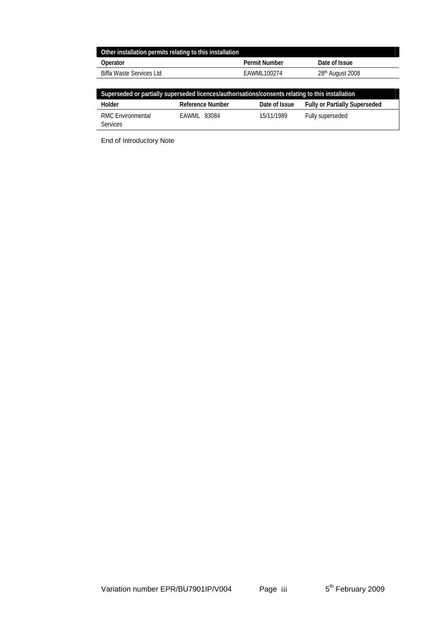| Other installation permits relating to this installation |                                                                                                   |                      |                                      |
|----------------------------------------------------------|---------------------------------------------------------------------------------------------------|----------------------|--------------------------------------|
| Operator                                                 |                                                                                                   | <b>Permit Number</b> | Date of Issue                        |
| <b>Biffa Waste Services Ltd</b>                          |                                                                                                   | EAWML100274          | 28th August 2008                     |
|                                                          |                                                                                                   |                      |                                      |
|                                                          | Superseded or partially superseded licences/authorisations/consents relating to this installation |                      |                                      |
|                                                          |                                                                                                   |                      |                                      |
| Holder                                                   | <b>Reference Number</b>                                                                           | Date of Issue        | <b>Fully or Partially Superseded</b> |

End of Introductory Note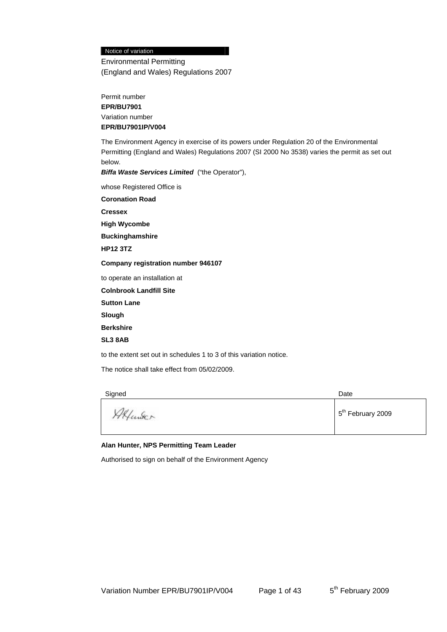#### Notice of variation

Environmental Permitting (England and Wales) Regulations 2007

Permit number **EPR/BU7901**  Variation number **EPR/BU7901IP/V004** 

The Environment Agency in exercise of its powers under Regulation 20 of the Environmental Permitting (England and Wales) Regulations 2007 (SI 2000 No 3538) varies the permit as set out below.

*Biffa Waste Services Limited* ("the Operator"),

whose Registered Office is

**Coronation Road** 

**Cressex** 

**High Wycombe** 

**Buckinghamshire** 

**HP12 3TZ** 

**Company registration number 946107** 

to operate an installation at

**Colnbrook Landfill Site** 

**Sutton Lane** 

**Slough** 

**Berkshire** 

**SL3 8AB** 

to the extent set out in schedules 1 to 3 of this variation notice.

The notice shall take effect from 05/02/2009.

Signed Date **Date of the Contract of Contract Contract Only in the Date** Alfander 5<sup>th</sup> February 2009

#### **Alan Hunter, NPS Permitting Team Leader**

Authorised to sign on behalf of the Environment Agency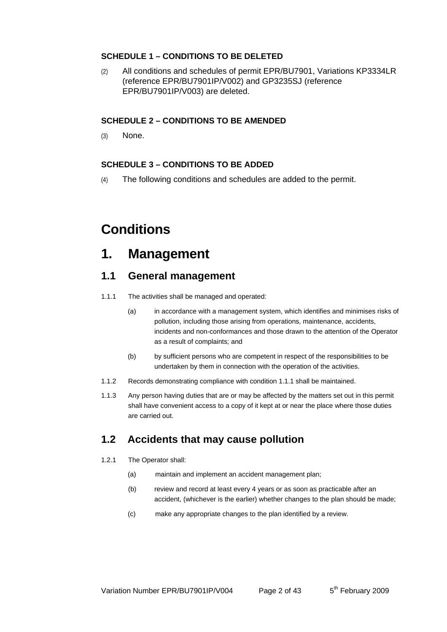#### **SCHEDULE 1 – CONDITIONS TO BE DELETED**

(2) All conditions and schedules of permit EPR/BU7901, Variations KP3334LR (reference EPR/BU7901IP/V002) and GP3235SJ (reference EPR/BU7901IP/V003) are deleted.

#### **SCHEDULE 2 – CONDITIONS TO BE AMENDED**

(3) None.

#### **SCHEDULE 3 – CONDITIONS TO BE ADDED**

(4) The following conditions and schedules are added to the permit.

## **Conditions**

## **1. Management**

#### **1.1 General management**

- 1.1.1 The activities shall be managed and operated:
	- (a) in accordance with a management system, which identifies and minimises risks of pollution, including those arising from operations, maintenance, accidents, incidents and non-conformances and those drawn to the attention of the Operator as a result of complaints; and
	- (b) by sufficient persons who are competent in respect of the responsibilities to be undertaken by them in connection with the operation of the activities.
- 1.1.2 Records demonstrating compliance with condition 1.1.1 shall be maintained.
- 1.1.3 Any person having duties that are or may be affected by the matters set out in this permit shall have convenient access to a copy of it kept at or near the place where those duties are carried out.

#### **1.2 Accidents that may cause pollution**

- 1.2.1 The Operator shall:
	- (a) maintain and implement an accident management plan;
	- (b) review and record at least every 4 years or as soon as practicable after an accident, (whichever is the earlier) whether changes to the plan should be made;
	- (c) make any appropriate changes to the plan identified by a review.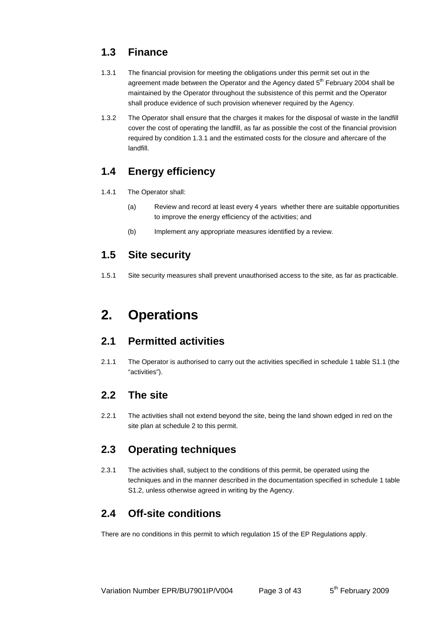### **1.3 Finance**

- 1.3.1 The financial provision for meeting the obligations under this permit set out in the agreement made between the Operator and the Agency dated 5<sup>th</sup> February 2004 shall be maintained by the Operator throughout the subsistence of this permit and the Operator shall produce evidence of such provision whenever required by the Agency.
- 1.3.2 The Operator shall ensure that the charges it makes for the disposal of waste in the landfill cover the cost of operating the landfill, as far as possible the cost of the financial provision required by condition 1.3.1 and the estimated costs for the closure and aftercare of the landfill.

### **1.4 Energy efficiency**

- 1.4.1 The Operator shall:
	- (a) Review and record at least every 4 years whether there are suitable opportunities to improve the energy efficiency of the activities; and
	- (b) Implement any appropriate measures identified by a review.

#### **1.5 Site security**

1.5.1 Site security measures shall prevent unauthorised access to the site, as far as practicable.

## **2. Operations**

#### **2.1 Permitted activities**

2.1.1 The Operator is authorised to carry out the activities specified in schedule 1 table S1.1 (the "activities").

### **2.2 The site**

2.2.1 The activities shall not extend beyond the site, being the land shown edged in red on the site plan at schedule 2 to this permit.

### **2.3 Operating techniques**

2.3.1 The activities shall, subject to the conditions of this permit, be operated using the techniques and in the manner described in the documentation specified in schedule 1 table S1.2, unless otherwise agreed in writing by the Agency.

### **2.4 Off-site conditions**

There are no conditions in this permit to which regulation 15 of the EP Regulations apply.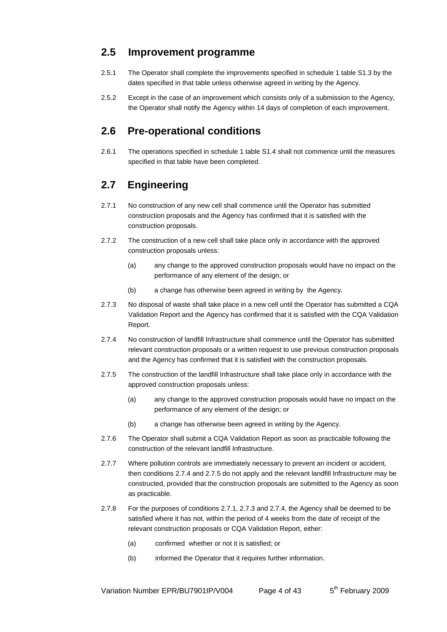#### **2.5 Improvement programme**

- 2.5.1 The Operator shall complete the improvements specified in schedule 1 table S1.3 by the dates specified in that table unless otherwise agreed in writing by the Agency.
- 2.5.2 Except in the case of an improvement which consists only of a submission to the Agency, the Operator shall notify the Agency within 14 days of completion of each improvement.

#### **2.6 Pre-operational conditions**

2.6.1 The operations specified in schedule 1 table S1.4 shall not commence until the measures specified in that table have been completed.

#### **2.7 Engineering**

- 2.7.1 No construction of any new cell shall commence until the Operator has submitted construction proposals and the Agency has confirmed that it is satisfied with the construction proposals.
- 2.7.2 The construction of a new cell shall take place only in accordance with the approved construction proposals unless:
	- (a) any change to the approved construction proposals would have no impact on the performance of any element of the design; or
	- (b) a change has otherwise been agreed in writing by the Agency.
- 2.7.3 No disposal of waste shall take place in a new cell until the Operator has submitted a CQA Validation Report and the Agency has confirmed that it is satisfied with the CQA Validation Report.
- 2.7.4 No construction of landfill Infrastructure shall commence until the Operator has submitted relevant construction proposals or a written request to use previous construction proposals and the Agency has confirmed that it is satisfied with the construction proposals.
- 2.7.5 The construction of the landfill Infrastructure shall take place only in accordance with the approved construction proposals unless:
	- (a) any change to the approved construction proposals would have no impact on the performance of any element of the design; or
	- (b) a change has otherwise been agreed in writing by the Agency.
- 2.7.6 The Operator shall submit a CQA Validation Report as soon as practicable following the construction of the relevant landfill Infrastructure.
- 2.7.7 Where pollution controls are immediately necessary to prevent an incident or accident, then conditions 2.7.4 and 2.7.5 do not apply and the relevant landfill Infrastructure may be constructed, provided that the construction proposals are submitted to the Agency as soon as practicable.
- 2.7.8 For the purposes of conditions 2.7.1, 2.7.3 and 2.7.4, the Agency shall be deemed to be satisfied where it has not, within the period of 4 weeks from the date of receipt of the relevant construction proposals or CQA Validation Report, either:
	- (a) confirmed whether or not it is satisfied; or
	- (b) informed the Operator that it requires further information.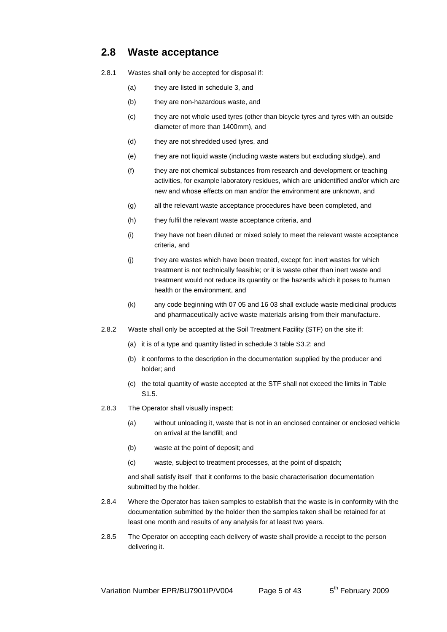#### **2.8 Waste acceptance**

- 2.8.1 Wastes shall only be accepted for disposal if:
	- (a) they are listed in schedule 3, and
	- (b) they are non-hazardous waste, and
	- (c) they are not whole used tyres (other than bicycle tyres and tyres with an outside diameter of more than 1400mm), and
	- (d) they are not shredded used tyres, and
	- (e) they are not liquid waste (including waste waters but excluding sludge), and
	- (f) they are not chemical substances from research and development or teaching activities, for example laboratory residues, which are unidentified and/or which are new and whose effects on man and/or the environment are unknown, and
	- (g) all the relevant waste acceptance procedures have been completed, and
	- (h) they fulfil the relevant waste acceptance criteria, and
	- (i) they have not been diluted or mixed solely to meet the relevant waste acceptance criteria, and
	- (j) they are wastes which have been treated, except for: inert wastes for which treatment is not technically feasible; or it is waste other than inert waste and treatment would not reduce its quantity or the hazards which it poses to human health or the environment, and
	- (k) any code beginning with 07 05 and 16 03 shall exclude waste medicinal products and pharmaceutically active waste materials arising from their manufacture.
- 2.8.2 Waste shall only be accepted at the Soil Treatment Facility (STF) on the site if:
	- (a) it is of a type and quantity listed in schedule 3 table S3.2; and
	- (b) it conforms to the description in the documentation supplied by the producer and holder; and
	- (c) the total quantity of waste accepted at the STF shall not exceed the limits in Table S1.5.
- 2.8.3 The Operator shall visually inspect:
	- (a) without unloading it, waste that is not in an enclosed container or enclosed vehicle on arrival at the landfill; and
	- (b) waste at the point of deposit; and
	- (c) waste, subject to treatment processes, at the point of dispatch;

and shall satisfy itself that it conforms to the basic characterisation documentation submitted by the holder.

- 2.8.4 Where the Operator has taken samples to establish that the waste is in conformity with the documentation submitted by the holder then the samples taken shall be retained for at least one month and results of any analysis for at least two years.
- 2.8.5 The Operator on accepting each delivery of waste shall provide a receipt to the person delivering it.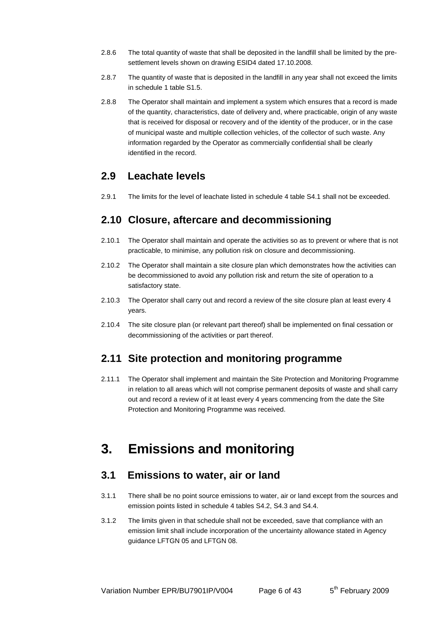- 2.8.6 The total quantity of waste that shall be deposited in the landfill shall be limited by the presettlement levels shown on drawing ESID4 dated 17.10.2008.
- 2.8.7 The quantity of waste that is deposited in the landfill in any year shall not exceed the limits in schedule 1 table S1.5.
- 2.8.8 The Operator shall maintain and implement a system which ensures that a record is made of the quantity, characteristics, date of delivery and, where practicable, origin of any waste that is received for disposal or recovery and of the identity of the producer, or in the case of municipal waste and multiple collection vehicles, of the collector of such waste. Any information regarded by the Operator as commercially confidential shall be clearly identified in the record.

#### **2.9 Leachate levels**

2.9.1 The limits for the level of leachate listed in schedule 4 table S4.1 shall not be exceeded.

#### **2.10 Closure, aftercare and decommissioning**

- 2.10.1 The Operator shall maintain and operate the activities so as to prevent or where that is not practicable, to minimise, any pollution risk on closure and decommissioning.
- 2.10.2 The Operator shall maintain a site closure plan which demonstrates how the activities can be decommissioned to avoid any pollution risk and return the site of operation to a satisfactory state.
- 2.10.3 The Operator shall carry out and record a review of the site closure plan at least every 4 years.
- 2.10.4 The site closure plan (or relevant part thereof) shall be implemented on final cessation or decommissioning of the activities or part thereof.

#### **2.11 Site protection and monitoring programme**

2.11.1 The Operator shall implement and maintain the Site Protection and Monitoring Programme in relation to all areas which will not comprise permanent deposits of waste and shall carry out and record a review of it at least every 4 years commencing from the date the Site Protection and Monitoring Programme was received.

## **3. Emissions and monitoring**

#### **3.1 Emissions to water, air or land**

- 3.1.1 There shall be no point source emissions to water, air or land except from the sources and emission points listed in schedule 4 tables S4.2, S4.3 and S4.4.
- 3.1.2 The limits given in that schedule shall not be exceeded, save that compliance with an emission limit shall include incorporation of the uncertainty allowance stated in Agency guidance LFTGN 05 and LFTGN 08.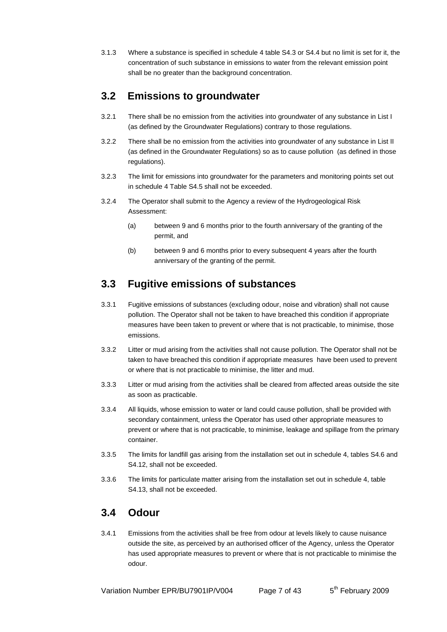3.1.3 Where a substance is specified in schedule 4 table S4.3 or S4.4 but no limit is set for it, the concentration of such substance in emissions to water from the relevant emission point shall be no greater than the background concentration.

#### **3.2 Emissions to groundwater**

- 3.2.1 There shall be no emission from the activities into groundwater of any substance in List I (as defined by the Groundwater Regulations) contrary to those regulations.
- 3.2.2 There shall be no emission from the activities into groundwater of any substance in List II (as defined in the Groundwater Regulations) so as to cause pollution (as defined in those regulations).
- 3.2.3 The limit for emissions into groundwater for the parameters and monitoring points set out in schedule 4 Table S4.5 shall not be exceeded.
- 3.2.4 The Operator shall submit to the Agency a review of the Hydrogeological Risk Assessment:
	- (a) between 9 and 6 months prior to the fourth anniversary of the granting of the permit, and
	- (b) between 9 and 6 months prior to every subsequent 4 years after the fourth anniversary of the granting of the permit.

### **3.3 Fugitive emissions of substances**

- 3.3.1 Fugitive emissions of substances (excluding odour, noise and vibration) shall not cause pollution. The Operator shall not be taken to have breached this condition if appropriate measures have been taken to prevent or where that is not practicable, to minimise, those emissions.
- 3.3.2 Litter or mud arising from the activities shall not cause pollution. The Operator shall not be taken to have breached this condition if appropriate measures have been used to prevent or where that is not practicable to minimise, the litter and mud.
- 3.3.3 Litter or mud arising from the activities shall be cleared from affected areas outside the site as soon as practicable.
- 3.3.4 All liquids, whose emission to water or land could cause pollution, shall be provided with secondary containment, unless the Operator has used other appropriate measures to prevent or where that is not practicable, to minimise, leakage and spillage from the primary container.
- 3.3.5 The limits for landfill gas arising from the installation set out in schedule 4, tables S4.6 and S4.12, shall not be exceeded.
- 3.3.6 The limits for particulate matter arising from the installation set out in schedule 4, table S4.13, shall not be exceeded.

### **3.4 Odour**

3.4.1 Emissions from the activities shall be free from odour at levels likely to cause nuisance outside the site, as perceived by an authorised officer of the Agency, unless the Operator has used appropriate measures to prevent or where that is not practicable to minimise the odour.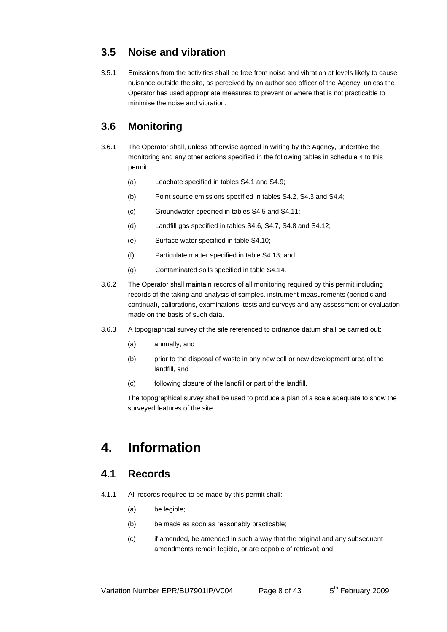#### **3.5 Noise and vibration**

3.5.1 Emissions from the activities shall be free from noise and vibration at levels likely to cause nuisance outside the site, as perceived by an authorised officer of the Agency, unless the Operator has used appropriate measures to prevent or where that is not practicable to minimise the noise and vibration.

#### **3.6 Monitoring**

- 3.6.1 The Operator shall, unless otherwise agreed in writing by the Agency, undertake the monitoring and any other actions specified in the following tables in schedule 4 to this permit:
	- (a) Leachate specified in tables S4.1 and S4.9;
	- (b) Point source emissions specified in tables S4.2, S4.3 and S4.4;
	- (c) Groundwater specified in tables S4.5 and S4.11;
	- (d) Landfill gas specified in tables S4.6, S4.7, S4.8 and S4.12;
	- (e) Surface water specified in table S4.10;
	- (f) Particulate matter specified in table S4.13; and
	- (g) Contaminated soils specified in table S4.14.
- 3.6.2 The Operator shall maintain records of all monitoring required by this permit including records of the taking and analysis of samples, instrument measurements (periodic and continual), calibrations, examinations, tests and surveys and any assessment or evaluation made on the basis of such data.
- 3.6.3 A topographical survey of the site referenced to ordnance datum shall be carried out:
	- (a) annually, and
	- (b) prior to the disposal of waste in any new cell or new development area of the landfill, and
	- (c) following closure of the landfill or part of the landfill.

The topographical survey shall be used to produce a plan of a scale adequate to show the surveyed features of the site.

## **4. Information**

#### **4.1 Records**

- 4.1.1 All records required to be made by this permit shall:
	- (a) be legible;
	- (b) be made as soon as reasonably practicable;
	- (c) if amended, be amended in such a way that the original and any subsequent amendments remain legible, or are capable of retrieval; and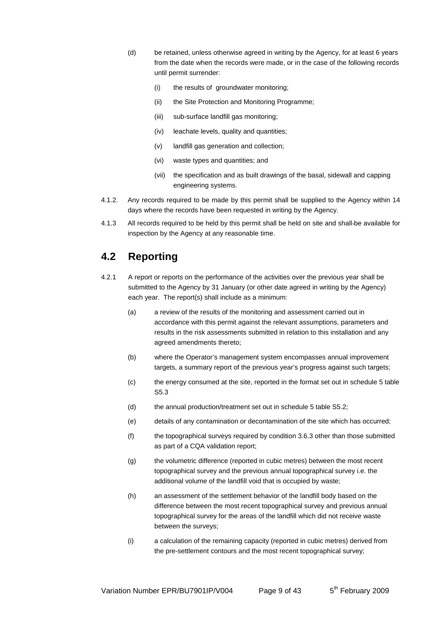- (d) be retained, unless otherwise agreed in writing by the Agency, for at least 6 years from the date when the records were made, or in the case of the following records until permit surrender:
	- (i) the results of groundwater monitoring;
	- (ii) the Site Protection and Monitoring Programme;
	- (iii) sub-surface landfill gas monitoring;
	- (iv) leachate levels, quality and quantities;
	- (v) landfill gas generation and collection;
	- (vi) waste types and quantities; and
	- (vii) the specification and as built drawings of the basal, sidewall and capping engineering systems.
- 4.1.2. Any records required to be made by this permit shall be supplied to the Agency within 14 days where the records have been requested in writing by the Agency.
- 4.1.3 All records required to be held by this permit shall be held on site and shall be available for inspection by the Agency at any reasonable time.

#### **4.2 Reporting**

- 4.2.1 A report or reports on the performance of the activities over the previous year shall be submitted to the Agency by 31 January (or other date agreed in writing by the Agency) each year. The report(s) shall include as a minimum:
	- (a) a review of the results of the monitoring and assessment carried out in accordance with this permit against the relevant assumptions, parameters and results in the risk assessments submitted in relation to this installation and any agreed amendments thereto;
	- (b) where the Operator's management system encompasses annual improvement targets, a summary report of the previous year's progress against such targets;
	- (c) the energy consumed at the site, reported in the format set out in schedule 5 table S5.3
	- (d) the annual production/treatment set out in schedule 5 table S5.2;
	- (e) details of any contamination or decontamination of the site which has occurred;
	- (f) the topographical surveys required by condition 3.6.3 other than those submitted as part of a CQA validation report;
	- (g) the volumetric difference (reported in cubic metres) between the most recent topographical survey and the previous annual topographical survey i.e. the additional volume of the landfill void that is occupied by waste;
	- (h) an assessment of the settlement behavior of the landfill body based on the difference between the most recent topographical survey and previous annual topographical survey for the areas of the landfill which did not receive waste between the surveys;
	- (i) a calculation of the remaining capacity (reported in cubic metres) derived from the pre-settlement contours and the most recent topographical survey;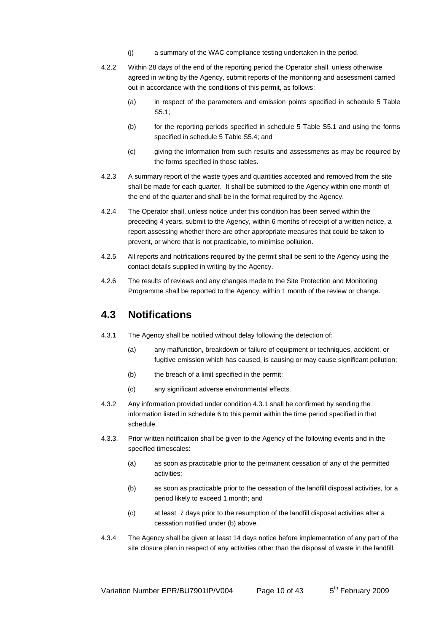- (j) a summary of the WAC compliance testing undertaken in the period.
- 4.2.2 Within 28 days of the end of the reporting period the Operator shall, unless otherwise agreed in writing by the Agency, submit reports of the monitoring and assessment carried out in accordance with the conditions of this permit, as follows:
	- (a) in respect of the parameters and emission points specified in schedule 5 Table S5.1;
	- (b) for the reporting periods specified in schedule 5 Table S5.1 and using the forms specified in schedule 5 Table S5.4; and
	- (c) giving the information from such results and assessments as may be required by the forms specified in those tables.
- 4.2.3 A summary report of the waste types and quantities accepted and removed from the site shall be made for each quarter. It shall be submitted to the Agency within one month of the end of the quarter and shall be in the format required by the Agency.
- 4.2.4 The Operator shall, unless notice under this condition has been served within the preceding 4 years, submit to the Agency, within 6 months of receipt of a written notice, a report assessing whether there are other appropriate measures that could be taken to prevent, or where that is not practicable, to minimise pollution.
- 4.2.5 All reports and notifications required by the permit shall be sent to the Agency using the contact details supplied in writing by the Agency.
- 4.2.6 The results of reviews and any changes made to the Site Protection and Monitoring Programme shall be reported to the Agency, within 1 month of the review or change.

#### **4.3 Notifications**

- 4.3.1 The Agency shall be notified without delay following the detection of:
	- (a) any malfunction, breakdown or failure of equipment or techniques, accident, or fugitive emission which has caused, is causing or may cause significant pollution;
	- (b) the breach of a limit specified in the permit;
	- (c) any significant adverse environmental effects.
- 4.3.2 Any information provided under condition 4.3.1 shall be confirmed by sending the information listed in schedule 6 to this permit within the time period specified in that schedule.
- 4.3.3. Prior written notification shall be given to the Agency of the following events and in the specified timescales:
	- (a) as soon as practicable prior to the permanent cessation of any of the permitted activities;
	- (b) as soon as practicable prior to the cessation of the landfill disposal activities, for a period likely to exceed 1 month; and
	- (c) at least 7 days prior to the resumption of the landfill disposal activities after a cessation notified under (b) above.
- 4.3.4 The Agency shall be given at least 14 days notice before implementation of any part of the site closure plan in respect of any activities other than the disposal of waste in the landfill.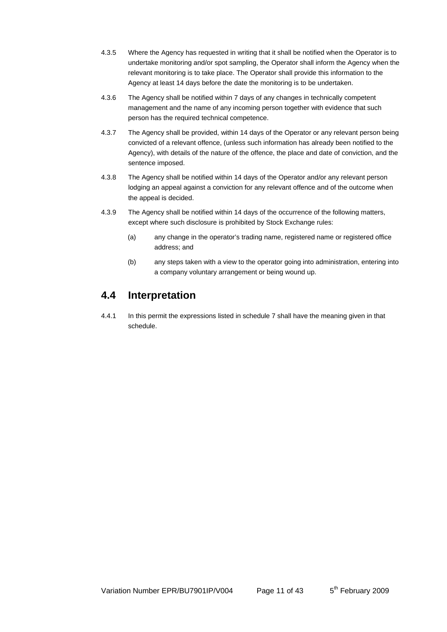- 4.3.5 Where the Agency has requested in writing that it shall be notified when the Operator is to undertake monitoring and/or spot sampling, the Operator shall inform the Agency when the relevant monitoring is to take place. The Operator shall provide this information to the Agency at least 14 days before the date the monitoring is to be undertaken.
- 4.3.6 The Agency shall be notified within 7 days of any changes in technically competent management and the name of any incoming person together with evidence that such person has the required technical competence.
- 4.3.7 The Agency shall be provided, within 14 days of the Operator or any relevant person being convicted of a relevant offence, (unless such information has already been notified to the Agency), with details of the nature of the offence, the place and date of conviction, and the sentence imposed.
- 4.3.8 The Agency shall be notified within 14 days of the Operator and/or any relevant person lodging an appeal against a conviction for any relevant offence and of the outcome when the appeal is decided.
- 4.3.9 The Agency shall be notified within 14 days of the occurrence of the following matters, except where such disclosure is prohibited by Stock Exchange rules:
	- (a) any change in the operator's trading name, registered name or registered office address; and
	- (b) any steps taken with a view to the operator going into administration, entering into a company voluntary arrangement or being wound up.

#### **4.4 Interpretation**

4.4.1 In this permit the expressions listed in schedule 7 shall have the meaning given in that schedule.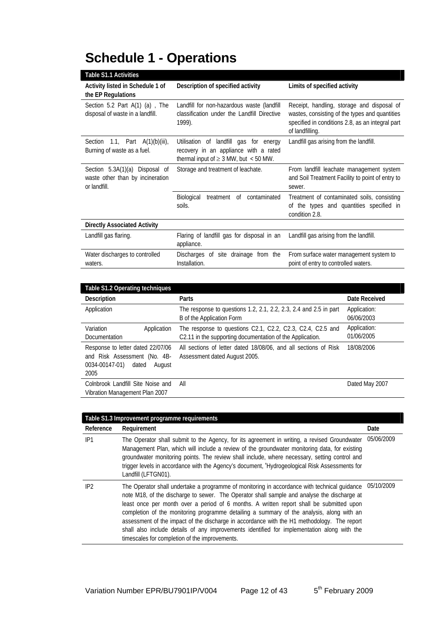# **Schedule 1 - Operations**

| Table S1.1 Activities                                                              |                                                                                                                               |                                                                                                                                                                     |
|------------------------------------------------------------------------------------|-------------------------------------------------------------------------------------------------------------------------------|---------------------------------------------------------------------------------------------------------------------------------------------------------------------|
| Activity listed in Schedule 1 of<br>the EP Regulations                             | Description of specified activity                                                                                             | Limits of specified activity                                                                                                                                        |
| Section 5.2 Part $A(1)$ (a), The<br>disposal of waste in a landfill.               | Landfill for non-hazardous waste (landfill<br>classification under the Landfill Directive<br>1999).                           | Receipt, handling, storage and disposal of<br>wastes, consisting of the types and quantities<br>specified in conditions 2.8, as an integral part<br>of landfilling. |
| 1.1, Part $A(1)(b)(iii)$ ,<br>Section<br>Burning of waste as a fuel.               | Utilisation of landfill gas for energy<br>recovery in an appliance with a rated<br>thermal input of $\geq$ 3 MW, but < 50 MW. | Landfill gas arising from the landfill.                                                                                                                             |
| Section 5.3A(1)(a) Disposal of<br>waste other than by incineration<br>or landfill. | Storage and treatment of leachate.                                                                                            | From landfill leachate management system<br>and Soil Treatment Facility to point of entry to<br>sewer.                                                              |
|                                                                                    | treatment<br>contaminated<br>Biological<br>of<br>soils.                                                                       | Treatment of contaminated soils, consisting<br>of the types and quantities specified in<br>condition 2.8.                                                           |
| <b>Directly Associated Activity</b>                                                |                                                                                                                               |                                                                                                                                                                     |
| Landfill gas flaring.                                                              | Flaring of landfill gas for disposal in an<br>appliance.                                                                      | Landfill gas arising from the landfill.                                                                                                                             |
| Water discharges to controlled<br>waters.                                          | Discharges of site drainage from the<br>Installation.                                                                         | From surface water management system to<br>point of entry to controlled waters.                                                                                     |

| Table S1.2 Operating techniques                                                                                |                                                                                                                         |                            |
|----------------------------------------------------------------------------------------------------------------|-------------------------------------------------------------------------------------------------------------------------|----------------------------|
| <b>Description</b>                                                                                             | Parts                                                                                                                   | Date Received              |
| Application                                                                                                    | The response to questions 1.2, 2.1, 2.2, 2.3, 2.4 and 2.5 in part<br>B of the Application Form                          | Application:<br>06/06/2003 |
| Variation<br>Application<br>Documentation                                                                      | The response to questions C2.1, C2.2, C2.3, C2.4, C2.5 and<br>C2.11 in the supporting documentation of the Application. | Application:<br>01/06/2005 |
| Response to letter dated 22/07/06<br>and Risk Assessment (No. 4B-<br>0034-00147-01)<br>dated<br>August<br>2005 | All sections of letter dated 18/08/06, and all sections of Risk<br>Assessment dated August 2005.                        | 18/08/2006                 |
| Colnbrook Landfill Site Noise and<br>Vibration Management Plan 2007                                            | All                                                                                                                     | Dated May 2007             |

| Table S1.3 Improvement programme requirements |                                                                                                                                                                                                                                                                                                                                                                                                                                                                                                                                                                                                                                      |            |
|-----------------------------------------------|--------------------------------------------------------------------------------------------------------------------------------------------------------------------------------------------------------------------------------------------------------------------------------------------------------------------------------------------------------------------------------------------------------------------------------------------------------------------------------------------------------------------------------------------------------------------------------------------------------------------------------------|------------|
| Reference                                     | Requirement                                                                                                                                                                                                                                                                                                                                                                                                                                                                                                                                                                                                                          | Date       |
| IP1                                           | The Operator shall submit to the Agency, for its agreement in writing, a revised Groundwater<br>Management Plan, which will include a review of the groundwater monitoring data, for existing<br>groundwater monitoring points. The review shall include, where necessary, setting control and<br>trigger levels in accordance with the Agency's document, 'Hydrogeological Risk Assessments for<br>Landfill (LFTGN01).                                                                                                                                                                                                              | 05/06/2009 |
| IP <sub>2</sub>                               | The Operator shall undertake a programme of monitoring in accordance with technical guidance<br>note M18, of the discharge to sewer. The Operator shall sample and analyse the discharge at<br>least once per month over a period of 6 months. A written report shall be submitted upon<br>completion of the monitoring programme detailing a summary of the analysis, along with an<br>assessment of the impact of the discharge in accordance with the H1 methodology. The report<br>shall also include details of any improvements identified for implementation along with the<br>timescales for completion of the improvements. | 05/10/2009 |

Variation Number EPR/BU7901IP/V004 Page 12 of 43 5<sup>th</sup> February 2009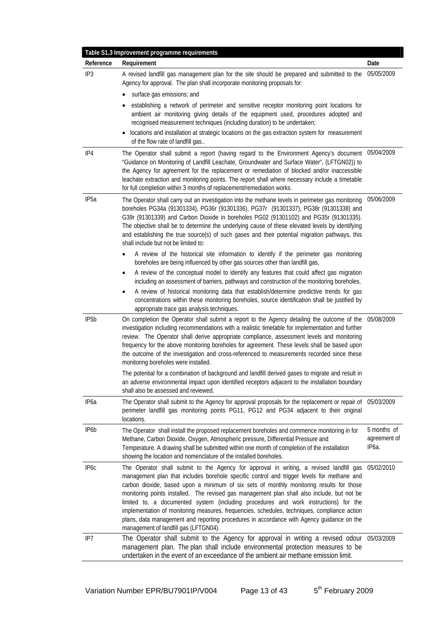|                   | Table S1.3 Improvement programme requirements                                                                                                                                                                                                                                                                                                                                                                                                                                                                                                                                                                                                                                                                  |                                                   |
|-------------------|----------------------------------------------------------------------------------------------------------------------------------------------------------------------------------------------------------------------------------------------------------------------------------------------------------------------------------------------------------------------------------------------------------------------------------------------------------------------------------------------------------------------------------------------------------------------------------------------------------------------------------------------------------------------------------------------------------------|---------------------------------------------------|
| Reference         | Requirement                                                                                                                                                                                                                                                                                                                                                                                                                                                                                                                                                                                                                                                                                                    | Date                                              |
| IP <sub>3</sub>   | A revised landfill gas management plan for the site should be prepared and submitted to the<br>Agency for approval. The plan shall incorporate monitoring proposals for:                                                                                                                                                                                                                                                                                                                                                                                                                                                                                                                                       | 05/05/2009                                        |
|                   | surface gas emissions; and                                                                                                                                                                                                                                                                                                                                                                                                                                                                                                                                                                                                                                                                                     |                                                   |
|                   | establishing a network of perimeter and sensitive receptor monitoring point locations for<br>ambient air monitoring giving details of the equipment used, procedures adopted and<br>recognised measurement techniques (including duration) to be undertaken;                                                                                                                                                                                                                                                                                                                                                                                                                                                   |                                                   |
|                   | locations and installation at strategic locations on the gas extraction system for measurement<br>of the flow rate of landfill gas                                                                                                                                                                                                                                                                                                                                                                                                                                                                                                                                                                             |                                                   |
| IP4               | The Operator shall submit a report (having regard to the Environment Agency's document 05/04/2009<br>"Guidance on Monitoring of Landfill Leachate, Groundwater and Surface Water", (LFTGN02)) to<br>the Agency for agreement for the replacement or remediation of blocked and/or inaccessible<br>leachate extraction and monitoring points. The report shall where necessary include a timetable<br>for full completion within 3 months of replacement/remediation works.                                                                                                                                                                                                                                     |                                                   |
| IP <sub>5</sub> a | The Operator shall carry out an investigation into the methane levels in perimeter gas monitoring<br>boreholes PG34a (91301334), PG36r (91301336), PG37r (91301337), PG38r (91301338) and<br>G39r (91301339) and Carbon Dioxide in boreholes PG02 (91301102) and PG35r (91301335).<br>The objective shall be to determine the underlying cause of these elevated levels by identifying<br>and establishing the true source(s) of such gases and their potential migration pathways, this<br>shall include but not be limited to:                                                                                                                                                                               | 05/06/2009                                        |
|                   | A review of the historical site information to identify if the perimeter gas monitoring<br>boreholes are being influenced by other gas sources other than landfill gas,                                                                                                                                                                                                                                                                                                                                                                                                                                                                                                                                        |                                                   |
|                   | A review of the conceptual model to identify any features that could affect gas migration<br>including an assessment of barriers, pathways and construction of the monitoring boreholes,                                                                                                                                                                                                                                                                                                                                                                                                                                                                                                                       |                                                   |
|                   | A review of historical monitoring data that establish/determine predictive trends for gas<br>٠<br>concentrations within these monitoring boreholes, source identification shall be justified by<br>appropriate trace gas analysis techniques.                                                                                                                                                                                                                                                                                                                                                                                                                                                                  |                                                   |
| IP <sub>5</sub> b | On completion the Operator shall submit a report to the Agency detailing the outcome of the 05/08/2009<br>investigation including recommendations with a realistic timetable for implementation and further<br>review. The Operator shall derive appropriate compliance, assessment levels and monitoring<br>frequency for the above monitoring boreholes for agreement. These levels shall be based upon<br>the outcome of the investigation and cross-referenced to measurements recorded since these<br>monitoring boreholes were installed.                                                                                                                                                                |                                                   |
|                   | The potential for a combination of background and landfill derived gases to migrate and result in<br>an adverse environmental impact upon identified receptors adjacent to the installation boundary<br>shall also be assessed and reviewed.                                                                                                                                                                                                                                                                                                                                                                                                                                                                   |                                                   |
| IP <sub>6</sub> a | The Operator shall submit to the Agency for approval proposals for the replacement or repair of 05/03/2009<br>perimeter landfill gas monitoring points PG11, PG12 and PG34 adjacent to their original<br>locations.                                                                                                                                                                                                                                                                                                                                                                                                                                                                                            |                                                   |
| IP6b              | The Operator shall install the proposed replacement boreholes and commence monitoring in for<br>Methane, Carbon Dioxide, Oxygen, Atmospheric pressure, Differential Pressure and<br>Temperature. A drawing shall be submitted within one month of completion of the installation<br>showing the location and nomenclature of the installed boreholes.                                                                                                                                                                                                                                                                                                                                                          | 5 months of<br>agreement of<br>IP <sub>6</sub> a. |
| IP <sub>6</sub> c | The Operator shall submit to the Agency for approval in writing, a revised landfill gas<br>management plan that includes borehole specific control and trigger levels for methane and<br>carbon dioxide, based upon a minimum of six sets of monthly monitoring results for those<br>monitoring points installed. The revised gas management plan shall also include, but not be<br>limited to, a documented system (including procedures and work instructions) for the<br>implementation of monitoring measures, frequencies, schedules, techniques, compliance action<br>plans, data management and reporting procedures in accordance with Agency guidance on the<br>management of landfill gas (LFTGN04). | 05/02/2010                                        |
| IP7               | The Operator shall submit to the Agency for approval in writing a revised odour 05/03/2009<br>management plan. The plan shall include environmental protection measures to be<br>undertaken in the event of an exceedance of the ambient air methane emission limit.                                                                                                                                                                                                                                                                                                                                                                                                                                           |                                                   |

Variation Number EPR/BU7901IP/V004 Page 13 of 43 5<sup>th</sup> February 2009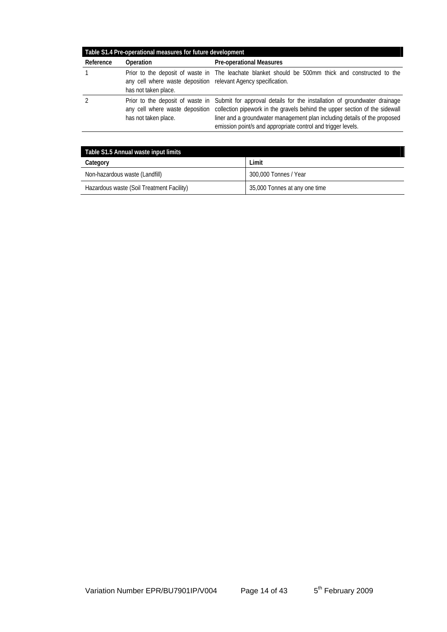| Table S1.4 Pre-operational measures for future development |                                                                                        |                                                                                                                                                                                                                                                                                                                                                                       |
|------------------------------------------------------------|----------------------------------------------------------------------------------------|-----------------------------------------------------------------------------------------------------------------------------------------------------------------------------------------------------------------------------------------------------------------------------------------------------------------------------------------------------------------------|
| Reference                                                  | Operation                                                                              | <b>Pre-operational Measures</b>                                                                                                                                                                                                                                                                                                                                       |
|                                                            | any cell where waste deposition relevant Agency specification.<br>has not taken place. | Prior to the deposit of waste in The leachate blanket should be 500mm thick and constructed to the                                                                                                                                                                                                                                                                    |
|                                                            | has not taken place.                                                                   | Prior to the deposit of waste in Submit for approval details for the installation of groundwater drainage<br>any cell where waste deposition collection pipework in the gravels behind the upper section of the sidewall<br>liner and a groundwater management plan including details of the proposed<br>emission point/s and appropriate control and trigger levels. |

| Table S1.5 Annual waste input limits      |                               |
|-------------------------------------------|-------------------------------|
| Category                                  | Limit                         |
| Non-hazardous waste (Landfill)            | 300,000 Tonnes / Year         |
| Hazardous waste (Soil Treatment Facility) | 35,000 Tonnes at any one time |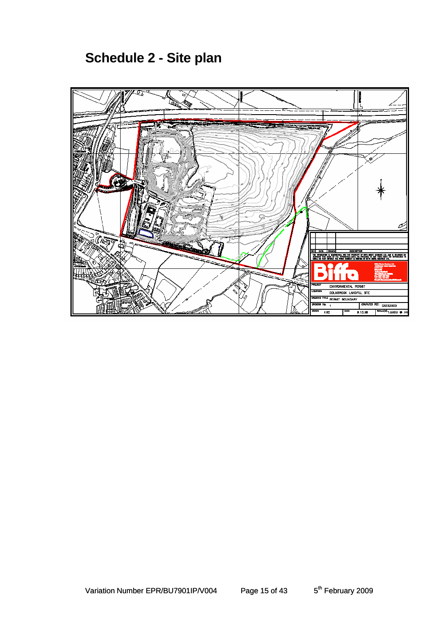**Schedule 2 - Site plan** 

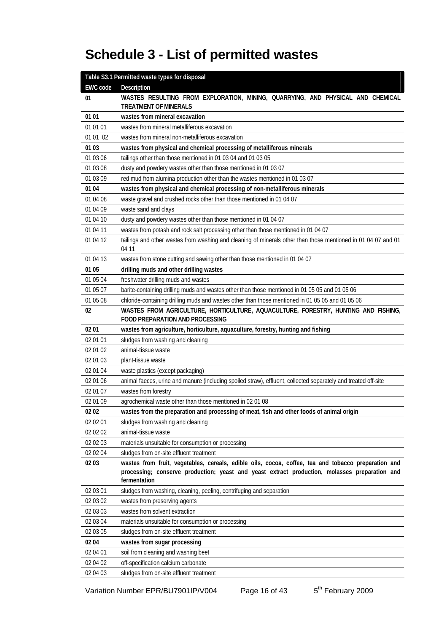# **Schedule 3 - List of permitted wastes**

|                 | Table S3.1 Permitted waste types for disposal                                                                          |
|-----------------|------------------------------------------------------------------------------------------------------------------------|
| <b>EWC code</b> | Description                                                                                                            |
| 01              | WASTES RESULTING FROM EXPLORATION, MINING, QUARRYING, AND PHYSICAL AND CHEMICAL<br><b>TREATMENT OF MINERALS</b>        |
| 01 01           | wastes from mineral excavation                                                                                         |
| 01 01 01        | wastes from mineral metalliferous excavation                                                                           |
| 01 01 02        | wastes from mineral non-metalliferous excavation                                                                       |
| 01 03           | wastes from physical and chemical processing of metalliferous minerals                                                 |
| 01 03 06        | tailings other than those mentioned in 01 03 04 and 01 03 05                                                           |
| 01 03 08        | dusty and powdery wastes other than those mentioned in 01 03 07                                                        |
| 01 03 09        | red mud from alumina production other than the wastes mentioned in 01 03 07                                            |
| 01 04           | wastes from physical and chemical processing of non-metalliferous minerals                                             |
| 01 04 08        | waste gravel and crushed rocks other than those mentioned in 01 04 07                                                  |
| 01 04 09        | waste sand and clays                                                                                                   |
| 01 04 10        | dusty and powdery wastes other than those mentioned in 01 04 07                                                        |
| 01 04 11        | wastes from potash and rock salt processing other than those mentioned in 01 04 07                                     |
| 01 04 12        | tailings and other wastes from washing and cleaning of minerals other than those mentioned in 01 04 07 and 01<br>04 11 |
| 01 04 13        | wastes from stone cutting and sawing other than those mentioned in 01 04 07                                            |
| 01 05           | drilling muds and other drilling wastes                                                                                |
| 01 05 04        | freshwater drilling muds and wastes                                                                                    |
| 01 05 07        | barite-containing drilling muds and wastes other than those mentioned in 01 05 05 and 01 05 06                         |
| 01 05 08        | chloride-containing drilling muds and wastes other than those mentioned in 01 05 05 and 01 05 06                       |
| 02              | WASTES FROM AGRICULTURE, HORTICULTURE, AQUACULTURE, FORESTRY, HUNTING AND FISHING,<br>FOOD PREPARATION AND PROCESSING  |
| 02 01           | wastes from agriculture, horticulture, aquaculture, forestry, hunting and fishing                                      |
| 02 01 01        | sludges from washing and cleaning                                                                                      |
| 02 01 02        | animal-tissue waste                                                                                                    |
| 02 01 03        | plant-tissue waste                                                                                                     |
| 02 01 04        | waste plastics (except packaging)                                                                                      |
| 02 01 06        | animal faeces, urine and manure (including spoiled straw), effluent, collected separately and treated off-site         |
| 02 01 07        | wastes from forestry                                                                                                   |
| 02 01 09        | agrochemical waste other than those mentioned in 02 01 08                                                              |
| 02 02           | wastes from the preparation and processing of meat, fish and other foods of animal origin                              |
| 02 02 01        | sludges from washing and cleaning                                                                                      |
| 02 02 02        | animal-tissue waste                                                                                                    |
| 02 02 03        | materials unsuitable for consumption or processing                                                                     |
| 02 02 04        | sludges from on-site effluent treatment                                                                                |
| 02 03           | wastes from fruit, vegetables, cereals, edible oils, cocoa, coffee, tea and tobacco preparation and                    |
|                 | processing; conserve production; yeast and yeast extract production, molasses preparation and<br>fermentation          |
| 02 03 01        | sludges from washing, cleaning, peeling, centrifuging and separation                                                   |
| 02 03 02        | wastes from preserving agents                                                                                          |
| 02 03 03        | wastes from solvent extraction                                                                                         |
| 02 03 04        | materials unsuitable for consumption or processing                                                                     |
| 02 03 05        | sludges from on-site effluent treatment                                                                                |
| 02 04           | wastes from sugar processing                                                                                           |
| 02 04 01        | soil from cleaning and washing beet                                                                                    |
| 02 04 02        | off-specification calcium carbonate                                                                                    |
| 02 04 03        | sludges from on-site effluent treatment                                                                                |
|                 |                                                                                                                        |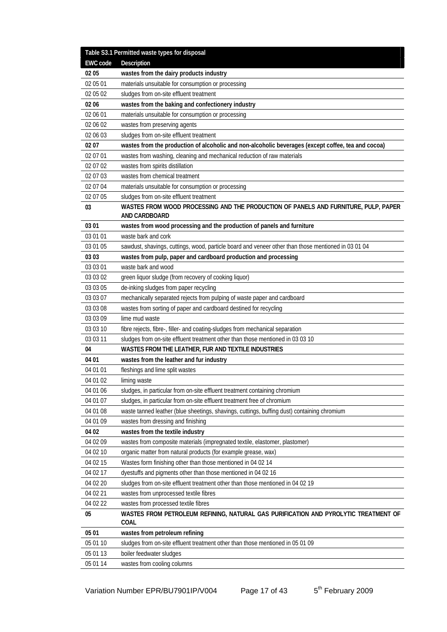|                 | Table S3.1 Permitted waste types for disposal                                                        |
|-----------------|------------------------------------------------------------------------------------------------------|
| <b>EWC code</b> | <b>Description</b>                                                                                   |
| 02 05           | wastes from the dairy products industry                                                              |
| 02 05 01        | materials unsuitable for consumption or processing                                                   |
| 02 05 02        | sludges from on-site effluent treatment                                                              |
| 02 06           | wastes from the baking and confectionery industry                                                    |
| 02 06 01        | materials unsuitable for consumption or processing                                                   |
| 02 06 02        | wastes from preserving agents                                                                        |
| 02 06 03        | sludges from on-site effluent treatment                                                              |
| 02 07           | wastes from the production of alcoholic and non-alcoholic beverages (except coffee, tea and cocoa)   |
| 02 07 01        | wastes from washing, cleaning and mechanical reduction of raw materials                              |
| 02 07 02        | wastes from spirits distillation                                                                     |
| 02 07 03        | wastes from chemical treatment                                                                       |
| 02 07 04        | materials unsuitable for consumption or processing                                                   |
| 02 07 05        | sludges from on-site effluent treatment                                                              |
| 03              | WASTES FROM WOOD PROCESSING AND THE PRODUCTION OF PANELS AND FURNITURE, PULP, PAPER<br>AND CARDBOARD |
| 03 01           | wastes from wood processing and the production of panels and furniture                               |
| 03 01 01        | waste bark and cork                                                                                  |
| 03 01 05        | sawdust, shavings, cuttings, wood, particle board and veneer other than those mentioned in 03 01 04  |
| 03 03           | wastes from pulp, paper and cardboard production and processing                                      |
| 03 03 01        | waste bark and wood                                                                                  |
| 03 03 02        | green liquor sludge (from recovery of cooking liquor)                                                |
| 03 03 05        | de-inking sludges from paper recycling                                                               |
| 03 03 07        | mechanically separated rejects from pulping of waste paper and cardboard                             |
| 03 03 08        | wastes from sorting of paper and cardboard destined for recycling                                    |
| 03 03 09        | lime mud waste                                                                                       |
| 03 03 10        | fibre rejects, fibre-, filler- and coating-sludges from mechanical separation                        |
| 03 03 11        | sludges from on-site effluent treatment other than those mentioned in 03 03 10                       |
| 04              | WASTES FROM THE LEATHER, FUR AND TEXTILE INDUSTRIES                                                  |
| 04 01           | wastes from the leather and fur industry                                                             |
| 04 01 01        | fleshings and lime split wastes                                                                      |
| 04 01 02        | liming waste                                                                                         |
| 04 01 06        | sludges, in particular from on-site effluent treatment containing chromium                           |
| 04 01 07        | sludges, in particular from on-site effluent treatment free of chromium                              |
| 04 01 08        | waste tanned leather (blue sheetings, shavings, cuttings, buffing dust) containing chromium          |
| 04 01 09        | wastes from dressing and finishing                                                                   |
| 04 02           | wastes from the textile industry                                                                     |
| 04 02 09        | wastes from composite materials (impregnated textile, elastomer, plastomer)                          |
| 04 02 10        | organic matter from natural products (for example grease, wax)                                       |
| 04 02 15        | Wastes form finishing other than those mentioned in 04 02 14                                         |
| 04 02 17        | dyestuffs and pigments other than those mentioned in 04 02 16                                        |
| 04 02 20        | sludges from on-site effluent treatment other than those mentioned in 04 02 19                       |
| 04 02 21        | wastes from unprocessed textile fibres                                                               |
| 04 02 22        | wastes from processed textile fibres                                                                 |
| 05              | WASTES FROM PETROLEUM REFINING, NATURAL GAS PURIFICATION AND PYROLYTIC TREATMENT OF<br><b>COAL</b>   |
| 05 01           | wastes from petroleum refining                                                                       |
| 05 01 10        | sludges from on-site effluent treatment other than those mentioned in 05 01 09                       |
| 05 01 13        | boiler feedwater sludges                                                                             |
| 05 01 14        | wastes from cooling columns                                                                          |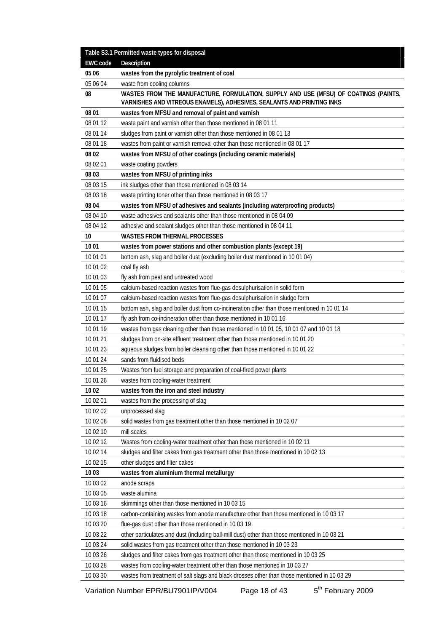|                 | Table S3.1 Permitted waste types for disposal                                                                                                                  |
|-----------------|----------------------------------------------------------------------------------------------------------------------------------------------------------------|
| <b>EWC</b> code | Description                                                                                                                                                    |
| 05 06           | wastes from the pyrolytic treatment of coal                                                                                                                    |
| 05 06 04        | waste from cooling columns                                                                                                                                     |
| 08              | WASTES FROM THE MANUFACTURE, FORMULATION, SUPPLY AND USE (MFSU) OF COATINGS (PAINTS,<br>VARNISHES AND VITREOUS ENAMELS), ADHESIVES, SEALANTS AND PRINTING INKS |
| 08 01           | wastes from MFSU and removal of paint and varnish                                                                                                              |
| 08 01 12        | waste paint and varnish other than those mentioned in 08 01 11                                                                                                 |
| 08 01 14        | sludges from paint or varnish other than those mentioned in 08 01 13                                                                                           |
| 08 01 18        | wastes from paint or varnish removal other than those mentioned in 08 01 17                                                                                    |
| 08 02           | wastes from MFSU of other coatings (including ceramic materials)                                                                                               |
| 08 02 01        | waste coating powders                                                                                                                                          |
| 08 03           | wastes from MFSU of printing inks                                                                                                                              |
| 08 03 15        | ink sludges other than those mentioned in 08 03 14                                                                                                             |
| 08 03 18        | waste printing toner other than those mentioned in 08 03 17                                                                                                    |
| 08 04           | wastes from MFSU of adhesives and sealants (including waterproofing products)                                                                                  |
| 08 04 10        | waste adhesives and sealants other than those mentioned in 08 04 09                                                                                            |
| 08 04 12        | adhesive and sealant sludges other than those mentioned in 08 04 11                                                                                            |
| 10              | <b>WASTES FROM THERMAL PROCESSES</b>                                                                                                                           |
| 1001            | wastes from power stations and other combustion plants (except 19)                                                                                             |
| 10 01 01        | bottom ash, slag and boiler dust (excluding boiler dust mentioned in 10 01 04)                                                                                 |
| 10 01 02        | coal fly ash                                                                                                                                                   |
| 10 01 03        | fly ash from peat and untreated wood                                                                                                                           |
| 10 01 05        | calcium-based reaction wastes from flue-gas desulphurisation in solid form                                                                                     |
| 10 01 07        | calcium-based reaction wastes from flue-gas desulphurisation in sludge form                                                                                    |
| 10 01 15        | bottom ash, slag and boiler dust from co-incineration other than those mentioned in 10 01 14                                                                   |
| 10 01 17        | fly ash from co-incineration other than those mentioned in 10 01 16                                                                                            |
| 10 01 19        | wastes from gas cleaning other than those mentioned in 10 01 05, 10 01 07 and 10 01 18                                                                         |
| 10 01 21        | sludges from on-site effluent treatment other than those mentioned in 10 01 20                                                                                 |
| 10 01 23        | aqueous sludges from boiler cleansing other than those mentioned in 10 01 22                                                                                   |
| 10 01 24        | sands from fluidised beds                                                                                                                                      |
| 10 01 25        | Wastes from fuel storage and preparation of coal-fired power plants                                                                                            |
| 10 01 26        | wastes from cooling-water treatment                                                                                                                            |
| 10 02           | wastes from the iron and steel industry                                                                                                                        |
| 10 02 01        | wastes from the processing of slag                                                                                                                             |
| 10 02 02        | unprocessed slag                                                                                                                                               |
| 10 02 08        | solid wastes from gas treatment other than those mentioned in 10 02 07                                                                                         |
| 10 02 10        | mill scales                                                                                                                                                    |
| 10 02 12        | Wastes from cooling-water treatment other than those mentioned in 10 02 11                                                                                     |
| 10 02 14        | sludges and filter cakes from gas treatment other than those mentioned in 10 02 13                                                                             |
| 10 02 15        | other sludges and filter cakes                                                                                                                                 |
| 10 03           | wastes from aluminium thermal metallurgy                                                                                                                       |
| 10 03 02        | anode scraps                                                                                                                                                   |
| 10 03 05        | waste alumina                                                                                                                                                  |
| 10 03 16        | skimmings other than those mentioned in 10 03 15                                                                                                               |
| 10 03 18        | carbon-containing wastes from anode manufacture other than those mentioned in 1003 17                                                                          |
| 10 03 20        | flue-gas dust other than those mentioned in 10 03 19                                                                                                           |
| 10 03 22        | other particulates and dust (including ball-mill dust) other than those mentioned in 10 03 21                                                                  |
| 10 03 24        | solid wastes from gas treatment other than those mentioned in 10 03 23                                                                                         |
| 10 03 26        | sludges and filter cakes from gas treatment other than those mentioned in 10 03 25                                                                             |
| 10 03 28        | wastes from cooling-water treatment other than those mentioned in 10 03 27                                                                                     |
| 10 03 30        | wastes from treatment of salt slags and black drosses other than those mentioned in 10 03 29                                                                   |

Variation Number EPR/BU7901IP/V004 Page 18 of 43 5<sup>th</sup> February 2009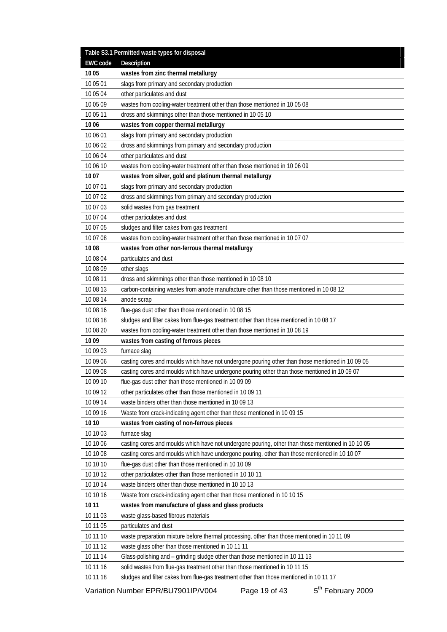|                      | Table S3.1 Permitted waste types for disposal                                                                     |
|----------------------|-------------------------------------------------------------------------------------------------------------------|
| <b>EWC code</b>      | Description                                                                                                       |
| 1005                 | wastes from zinc thermal metallurgy                                                                               |
| 10 05 01             | slags from primary and secondary production                                                                       |
| 10 05 04             | other particulates and dust                                                                                       |
| 10 05 09             | wastes from cooling-water treatment other than those mentioned in 10 05 08                                        |
| 10 05 11             | dross and skimmings other than those mentioned in 10 05 10                                                        |
| 1006                 | wastes from copper thermal metallurgy                                                                             |
| 10 06 01             | slags from primary and secondary production                                                                       |
| 10 06 02             | dross and skimmings from primary and secondary production                                                         |
| 10 06 04             | other particulates and dust                                                                                       |
| 10 06 10             | wastes from cooling-water treatment other than those mentioned in 10 06 09                                        |
| 1007                 | wastes from silver, gold and platinum thermal metallurgy                                                          |
| 10 07 01             | slags from primary and secondary production                                                                       |
| 10 07 02             | dross and skimmings from primary and secondary production                                                         |
| 10 07 03             | solid wastes from gas treatment                                                                                   |
| 10 07 04             | other particulates and dust                                                                                       |
| 10 07 05             | sludges and filter cakes from gas treatment                                                                       |
| 10 07 08             | wastes from cooling-water treatment other than those mentioned in 10 07 07                                        |
| 10 08                | wastes from other non-ferrous thermal metallurgy                                                                  |
| 10 08 04             | particulates and dust                                                                                             |
| 10 08 09             | other slags                                                                                                       |
| 10 08 11             | dross and skimmings other than those mentioned in 10 08 10                                                        |
| 10 08 13             | carbon-containing wastes from anode manufacture other than those mentioned in 10 08 12                            |
| 10 08 14             | anode scrap                                                                                                       |
| 10 08 16             | flue-gas dust other than those mentioned in 10 08 15                                                              |
| 10 08 18             | sludges and filter cakes from flue-gas treatment other than those mentioned in 10 08 17                           |
| 10 08 20             | wastes from cooling-water treatment other than those mentioned in 10 08 19                                        |
| 1009                 | wastes from casting of ferrous pieces                                                                             |
| 10 09 03             | furnace slag                                                                                                      |
| 10 09 06             | casting cores and moulds which have not undergone pouring other than those mentioned in 10 09 05                  |
| 10 09 08             | casting cores and moulds which have undergone pouring other than those mentioned in 10 09 07                      |
| 10 09 10             | flue-gas dust other than those mentioned in 10 09 09                                                              |
| 10 09 12             | other particulates other than those mentioned in 10 09 11                                                         |
| 10 09 14             | waste binders other than those mentioned in 10 09 13                                                              |
| 10 09 16             | Waste from crack-indicating agent other than those mentioned in 10 09 15                                          |
| 10 10                | wastes from casting of non-ferrous pieces                                                                         |
| 10 10 03<br>10 10 06 | furnace slag                                                                                                      |
|                      | casting cores and moulds which have not undergone pouring, other than those mentioned in 10 10 05                 |
| 10 10 08             | casting cores and moulds which have undergone pouring, other than those mentioned in 10 10 07                     |
| 10 10 10<br>10 10 12 | flue-gas dust other than those mentioned in 10 10 09<br>other particulates other than those mentioned in 10 10 11 |
| 10 10 14             | waste binders other than those mentioned in 10 10 13                                                              |
| 10 10 16             |                                                                                                                   |
| 10 11                | Waste from crack-indicating agent other than those mentioned in 10 10 15                                          |
| 10 11 03             | wastes from manufacture of glass and glass products<br>waste glass-based fibrous materials                        |
| 10 11 05             | particulates and dust                                                                                             |
| 10 11 10             | waste preparation mixture before thermal processing, other than those mentioned in 10 11 09                       |
| 10 11 12             | waste glass other than those mentioned in 10 11 11                                                                |
| 10 11 14             | Glass-polishing and - grinding sludge other than those mentioned in 10 11 13                                      |
| 10 11 16             | solid wastes from flue-gas treatment other than those mentioned in 10 11 15                                       |
| 10 11 18             | sludges and filter cakes from flue-gas treatment other than those mentioned in 10 11 17                           |
|                      |                                                                                                                   |

Variation Number EPR/BU7901IP/V004 Page 19 of 43 5<sup>th</sup> February 2009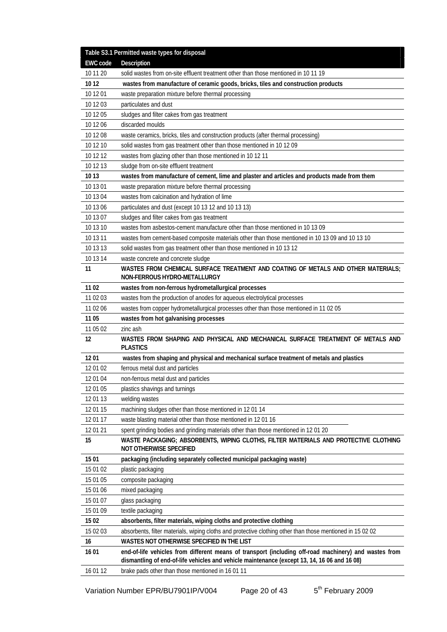|                 | Table S3.1 Permitted waste types for disposal                                                                                                                                                         |
|-----------------|-------------------------------------------------------------------------------------------------------------------------------------------------------------------------------------------------------|
| <b>EWC code</b> | Description                                                                                                                                                                                           |
| 10 11 20        | solid wastes from on-site effluent treatment other than those mentioned in 10 11 19                                                                                                                   |
| 10 12           | wastes from manufacture of ceramic goods, bricks, tiles and construction products                                                                                                                     |
| 10 12 01        | waste preparation mixture before thermal processing                                                                                                                                                   |
| 10 12 03        | particulates and dust                                                                                                                                                                                 |
| 10 12 05        | sludges and filter cakes from gas treatment                                                                                                                                                           |
| 10 12 06        | discarded moulds                                                                                                                                                                                      |
| 10 12 08        | waste ceramics, bricks, tiles and construction products (after thermal processing)                                                                                                                    |
| 10 12 10        | solid wastes from gas treatment other than those mentioned in 10 12 09                                                                                                                                |
| 10 12 12        | wastes from glazing other than those mentioned in 10 12 11                                                                                                                                            |
| 10 12 13        | sludge from on-site effluent treatment                                                                                                                                                                |
| 10 13           | wastes from manufacture of cement, lime and plaster and articles and products made from them                                                                                                          |
| 10 13 01        | waste preparation mixture before thermal processing                                                                                                                                                   |
| 10 13 04        | wastes from calcination and hydration of lime                                                                                                                                                         |
| 10 13 06        | particulates and dust (except 10 13 12 and 10 13 13)                                                                                                                                                  |
| 10 13 07        | sludges and filter cakes from gas treatment                                                                                                                                                           |
| 10 13 10        | wastes from asbestos-cement manufacture other than those mentioned in 10 13 09                                                                                                                        |
| 10 13 11        | wastes from cement-based composite materials other than those mentioned in 10 13 09 and 10 13 10                                                                                                      |
| 10 13 13        | solid wastes from gas treatment other than those mentioned in 10 13 12                                                                                                                                |
| 10 13 14        | waste concrete and concrete sludge                                                                                                                                                                    |
| 11              | WASTES FROM CHEMICAL SURFACE TREATMENT AND COATING OF METALS AND OTHER MATERIALS;                                                                                                                     |
|                 | NON-FERROUS HYDRO-METALLURGY                                                                                                                                                                          |
| 1102            | wastes from non-ferrous hydrometallurgical processes                                                                                                                                                  |
| 11 02 03        | wastes from the production of anodes for aqueous electrolytical processes                                                                                                                             |
| 11 02 06        | wastes from copper hydrometallurgical processes other than those mentioned in 11 02 05                                                                                                                |
| 1105            | wastes from hot galvanising processes                                                                                                                                                                 |
| 11 05 02        | zinc ash                                                                                                                                                                                              |
| 12              | WASTES FROM SHAPING AND PHYSICAL AND MECHANICAL SURFACE TREATMENT OF METALS AND<br><b>PLASTICS</b>                                                                                                    |
| 1201            | wastes from shaping and physical and mechanical surface treatment of metals and plastics                                                                                                              |
| 12 01 02        | ferrous metal dust and particles                                                                                                                                                                      |
| 12 01 04        | non-ferrous metal dust and particles                                                                                                                                                                  |
| 12 01 05        | plastics shavings and turnings                                                                                                                                                                        |
| 12 01 13        | welding wastes                                                                                                                                                                                        |
| 12 01 15        | machining sludges other than those mentioned in 12 01 14                                                                                                                                              |
| 12 01 17        |                                                                                                                                                                                                       |
|                 | waste blasting material other than those mentioned in 12 01 16                                                                                                                                        |
| 12 01 21        | spent grinding bodies and grinding materials other than those mentioned in 12 01 20                                                                                                                   |
| 15              | WASTE PACKAGING; ABSORBENTS, WIPING CLOTHS, FILTER MATERIALS AND PROTECTIVE CLOTHING<br><b>NOT OTHERWISE SPECIFIED</b>                                                                                |
| 1501            | packaging (including separately collected municipal packaging waste)                                                                                                                                  |
| 15 01 02        | plastic packaging                                                                                                                                                                                     |
| 15 01 05        | composite packaging                                                                                                                                                                                   |
| 15 01 06        | mixed packaging                                                                                                                                                                                       |
| 15 01 07        | glass packaging                                                                                                                                                                                       |
| 15 01 09        | textile packaging                                                                                                                                                                                     |
| 1502            | absorbents, filter materials, wiping cloths and protective clothing                                                                                                                                   |
| 15 02 03        | absorbents, filter materials, wiping cloths and protective clothing other than those mentioned in 15 02 02                                                                                            |
| 16              | WASTES NOT OTHERWISE SPECIFIED IN THE LIST                                                                                                                                                            |
| 1601            | end-of-life vehicles from different means of transport (including off-road machinery) and wastes from<br>dismantling of end-of-life vehicles and vehicle maintenance (except 13, 14, 16 06 and 16 08) |

Variation Number EPR/BU7901IP/V004 Page 20 of 43 5<sup>th</sup> February 2009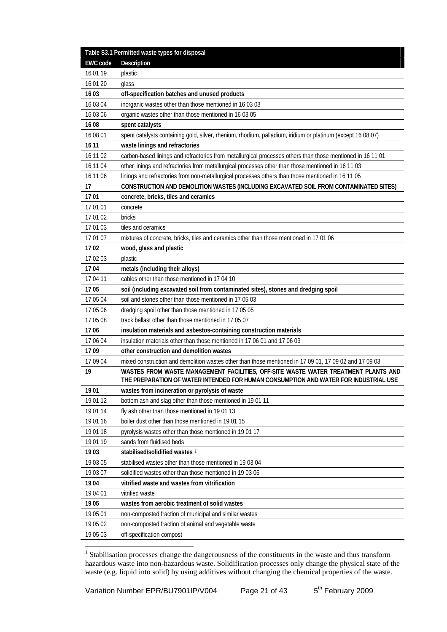<span id="page-23-0"></span>

|                 | Table S3.1 Permitted waste types for disposal                                                                                                                              |
|-----------------|----------------------------------------------------------------------------------------------------------------------------------------------------------------------------|
| <b>EWC code</b> | Description                                                                                                                                                                |
| 16 01 19        | plastic                                                                                                                                                                    |
| 16 01 20        | glass                                                                                                                                                                      |
| 1603            | off-specification batches and unused products                                                                                                                              |
| 16 03 04        | inorganic wastes other than those mentioned in 16 03 03                                                                                                                    |
| 16 03 06        | organic wastes other than those mentioned in 16 03 05                                                                                                                      |
| 1608            | spent catalysts                                                                                                                                                            |
| 16 08 01        | spent catalysts containing gold, silver, rhenium, rhodium, palladium, iridium or platinum (except 16 08 07)                                                                |
| 16 11           | waste linings and refractories                                                                                                                                             |
| 16 11 02        | carbon-based linings and refractories from metallurgical processes others than those mentioned in 16 11 01                                                                 |
| 16 11 04        | other linings and refractories from metallurgical processes other than those mentioned in 16 11 03                                                                         |
| 16 11 06        | linings and refractories from non-metallurgical processes others than those mentioned in 16 11 05                                                                          |
| 17              | CONSTRUCTION AND DEMOLITION WASTES (INCLUDING EXCAVATED SOIL FROM CONTAMINATED SITES)                                                                                      |
| 1701            | concrete, bricks, tiles and ceramics                                                                                                                                       |
| 17 01 01        | concrete                                                                                                                                                                   |
| 17 01 02        | bricks                                                                                                                                                                     |
| 17 01 03        | tiles and ceramics                                                                                                                                                         |
| 17 01 07        | mixtures of concrete, bricks, tiles and ceramics other than those mentioned in 17 01 06                                                                                    |
| 1702            | wood, glass and plastic                                                                                                                                                    |
| 17 02 03        | plastic                                                                                                                                                                    |
| 1704            | metals (including their alloys)                                                                                                                                            |
| 17 04 11        | cables other than those mentioned in 17 04 10                                                                                                                              |
| 1705            | soil (including excavated soil from contaminated sites), stones and dredging spoil                                                                                         |
| 17 05 04        | soil and stones other than those mentioned in 170503                                                                                                                       |
| 17 05 06        | dredging spoil other than those mentioned in 17 05 05                                                                                                                      |
| 17 05 08        | track ballast other than those mentioned in 17 05 07                                                                                                                       |
| 1706            | insulation materials and asbestos-containing construction materials                                                                                                        |
| 17 06 04        | insulation materials other than those mentioned in 17 06 01 and 17 06 03                                                                                                   |
| 1709            | other construction and demolition wastes                                                                                                                                   |
| 17 09 04        | mixed construction and demolition wastes other than those mentioned in 17 09 01, 17 09 02 and 17 09 03                                                                     |
| 19              | WASTES FROM WASTE MANAGEMENT FACILITIES, OFF-SITE WASTE WATER TREATMENT PLANTS AND<br>THE PREPARATION OF WATER INTENDED FOR HUMAN CONSUMPTION AND WATER FOR INDUSTRIAL USE |
| 1901            | wastes from incineration or pyrolysis of waste                                                                                                                             |
| 19 01 12        | bottom ash and slag other than those mentioned in 19 01 11                                                                                                                 |
| 19 01 14        | fly ash other than those mentioned in 19 01 13                                                                                                                             |
| 19 01 16        | boiler dust other than those mentioned in 19 01 15                                                                                                                         |
| 19 01 18        | pyrolysis wastes other than those mentioned in 19 01 17                                                                                                                    |
| 19 01 19        | sands from fluidised beds                                                                                                                                                  |
| 1903            | stabilised/solidified wastes 1                                                                                                                                             |
| 19 03 05        | stabilised wastes other than those mentioned in 19 03 04                                                                                                                   |
| 19 03 07        | solidified wastes other than those mentioned in 19 03 06                                                                                                                   |
| 1904            | vitrified waste and wastes from vitrification                                                                                                                              |
| 19 04 01        | vitrified waste                                                                                                                                                            |
| 1905            | wastes from aerobic treatment of solid wastes                                                                                                                              |
| 19 05 01        | non-composted fraction of municipal and similar wastes                                                                                                                     |
| 19 05 02        | non-composted fraction of animal and vegetable waste                                                                                                                       |
| 19 05 03        | off-specification compost                                                                                                                                                  |
|                 |                                                                                                                                                                            |

 1 Stabilisation processes change the dangerousness of the constituents in the waste and thus transform hazardous waste into non-hazardous waste. Solidification processes only change the physical state of the waste (e.g. liquid into solid) by using additives without changing the chemical properties of the waste.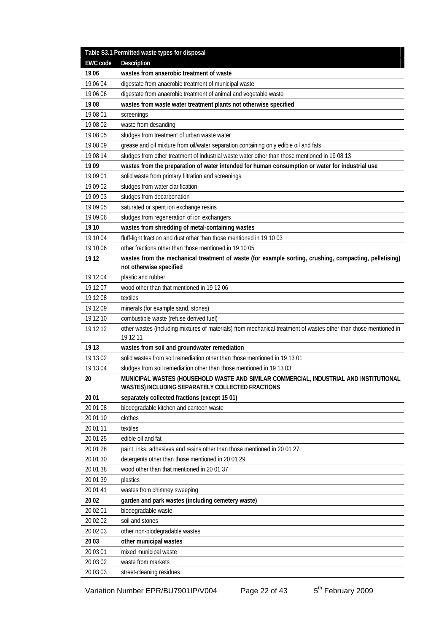|                 | Table S3.1 Permitted waste types for disposal                                                                                              |
|-----------------|--------------------------------------------------------------------------------------------------------------------------------------------|
| <b>EWC code</b> | Description                                                                                                                                |
| 1906            | wastes from anaerobic treatment of waste                                                                                                   |
| 19 06 04        | digestate from anaerobic treatment of municipal waste                                                                                      |
| 19 06 06        | digestate from anaerobic treatment of animal and vegetable waste                                                                           |
| 1908            | wastes from waste water treatment plants not otherwise specified                                                                           |
| 19 08 01        | screenings                                                                                                                                 |
| 19 08 02        | waste from desanding                                                                                                                       |
| 19 08 05        | sludges from treatment of urban waste water                                                                                                |
| 19 08 09        | grease and oil mixture from oil/water separation containing only edible oil and fats                                                       |
| 19 08 14        | sludges from other treatment of industrial waste water other than those mentioned in 19 08 13                                              |
| 1909            | wastes from the preparation of water intended for human consumption or water for industrial use                                            |
| 190901          | solid waste from primary filtration and screenings                                                                                         |
| 19 09 02        | sludges from water clarification                                                                                                           |
| 19 09 03        | sludges from decarbonation                                                                                                                 |
| 19 09 05        | saturated or spent ion exchange resins                                                                                                     |
| 19 09 06        | sludges from regeneration of ion exchangers                                                                                                |
| 19 10           | wastes from shredding of metal-containing wastes                                                                                           |
| 19 10 04        | fluff-light fraction and dust other than those mentioned in 19 10 03                                                                       |
| 19 10 06        | other fractions other than those mentioned in 19 10 05                                                                                     |
| 19 12           | wastes from the mechanical treatment of waste (for example sorting, crushing, compacting, pelletising)                                     |
|                 | not otherwise specified                                                                                                                    |
| 19 12 04        | plastic and rubber                                                                                                                         |
| 19 12 07        | wood other than that mentioned in 19 12 06                                                                                                 |
| 19 12 08        | textiles                                                                                                                                   |
| 19 12 09        | minerals (for example sand, stones)                                                                                                        |
| 19 12 10        | combustible waste (refuse derived fuel)                                                                                                    |
| 19 12 12        | other wastes (including mixtures of materials) from mechanical treatment of wastes other than those mentioned in<br>19 12 11               |
| 19 13           | wastes from soil and groundwater remediation                                                                                               |
| 19 13 02        | solid wastes from soil remediation other than those mentioned in 19 13 01                                                                  |
| 19 13 04        | sludges from soil remediation other than those mentioned in 19 13 03                                                                       |
| 20              | MUNICIPAL WASTES (HOUSEHOLD WASTE AND SIMILAR COMMERCIAL, INDUSTRIAL AND INSTITUTIONAL<br>WASTES) INCLUDING SEPARATELY COLLECTED FRACTIONS |
| 20 01           | separately collected fractions (except 15 01)                                                                                              |
| 20 01 08        | biodegradable kitchen and canteen waste                                                                                                    |
| 20 01 10        | clothes                                                                                                                                    |
| 20 01 11        | textiles                                                                                                                                   |
| 20 01 25        | edible oil and fat                                                                                                                         |
| 20 01 28        | paint, inks, adhesives and resins other than those mentioned in 20 01 27                                                                   |
| 20 01 30        | detergents other than those mentioned in 20 01 29                                                                                          |
| 20 01 38        | wood other than that mentioned in 20 01 37                                                                                                 |
| 20 01 39        | plastics                                                                                                                                   |
| 20 01 41        | wastes from chimney sweeping                                                                                                               |
| 20 02           | garden and park wastes (including cemetery waste)                                                                                          |
| 20 02 01        | biodegradable waste                                                                                                                        |
| 20 02 02        | soil and stones                                                                                                                            |
| 20 02 03        | other non-biodegradable wastes                                                                                                             |
| 20 03           | other municipal wastes                                                                                                                     |
| 20 03 01        | mixed municipal waste                                                                                                                      |
| 20 03 02        | waste from markets                                                                                                                         |
| 20 03 03        | street-cleaning residues                                                                                                                   |

Variation Number EPR/BU7901IP/V004 Page 22 of 43 5<sup>th</sup> February 2009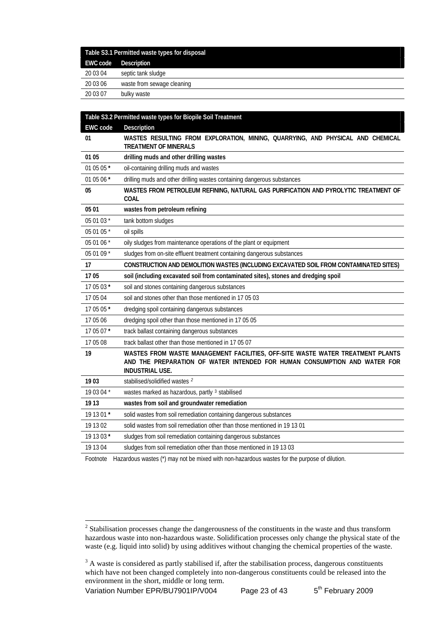<span id="page-25-0"></span>

| Table S3.1 Permitted waste types for disposal |                            |  |  |  |
|-----------------------------------------------|----------------------------|--|--|--|
| EWC code                                      | Description                |  |  |  |
| 20 03 04                                      | septic tank sludge         |  |  |  |
| 20 03 06                                      | waste from sewage cleaning |  |  |  |
| 20 03 07                                      | bulky waste                |  |  |  |
|                                               |                            |  |  |  |

|                 | Table S3.2 Permitted waste types for Biopile Soil Treatment                                                                                                                           |
|-----------------|---------------------------------------------------------------------------------------------------------------------------------------------------------------------------------------|
| <b>EWC code</b> | Description                                                                                                                                                                           |
| 01              | WASTES RESULTING FROM EXPLORATION, MINING, QUARRYING, AND PHYSICAL AND CHEMICAL<br><b>TREATMENT OF MINERALS</b>                                                                       |
| 0105            | drilling muds and other drilling wastes                                                                                                                                               |
| 01 05 05 *      | oil-containing drilling muds and wastes                                                                                                                                               |
| 01 05 06 *      | drilling muds and other drilling wastes containing dangerous substances                                                                                                               |
| 05              | WASTES FROM PETROLEUM REFINING, NATURAL GAS PURIFICATION AND PYROLYTIC TREATMENT OF<br>COAL                                                                                           |
| 05 01           | wastes from petroleum refining                                                                                                                                                        |
| 05 01 03 *      | tank bottom sludges                                                                                                                                                                   |
| 05 01 05 $*$    | oil spills                                                                                                                                                                            |
| 05 01 06 *      | oily sludges from maintenance operations of the plant or equipment                                                                                                                    |
| 05 01 09 *      | sludges from on-site effluent treatment containing dangerous substances                                                                                                               |
| 17              | CONSTRUCTION AND DEMOLITION WASTES (INCLUDING EXCAVATED SOIL FROM CONTAMINATED SITES)                                                                                                 |
| 1705            | soil (including excavated soil from contaminated sites), stones and dredging spoil                                                                                                    |
| 17 05 03 *      | soil and stones containing dangerous substances                                                                                                                                       |
| 17 05 04        | soil and stones other than those mentioned in 17 05 03                                                                                                                                |
| 17 05 05 *      | dredging spoil containing dangerous substances                                                                                                                                        |
| 17 05 06        | dredging spoil other than those mentioned in 17 05 05                                                                                                                                 |
| 17 05 07*       | track ballast containing dangerous substances                                                                                                                                         |
| 17 05 08        | track ballast other than those mentioned in 17 05 07                                                                                                                                  |
| 19              | WASTES FROM WASTE MANAGEMENT FACILITIES, OFF-SITE WASTE WATER TREATMENT PLANTS<br>AND THE PREPARATION OF WATER INTENDED FOR HUMAN CONSUMPTION AND WATER FOR<br><b>INDUSTRIAL USE.</b> |
| 1903            | stabilised/solidified wastes <sup>2</sup>                                                                                                                                             |
| 19 03 04 *      | wastes marked as hazardous, partly <sup>3</sup> stabilised                                                                                                                            |
| 19 13           | wastes from soil and groundwater remediation                                                                                                                                          |
| 19 13 01 *      | solid wastes from soil remediation containing dangerous substances                                                                                                                    |
| 19 13 02        | solid wastes from soil remediation other than those mentioned in 19 13 01                                                                                                             |
| 19 13 03 *      | sludges from soil remediation containing dangerous substances                                                                                                                         |
| 19 13 04        | sludges from soil remediation other than those mentioned in 19 13 03                                                                                                                  |
|                 |                                                                                                                                                                                       |

Footnote Hazardous wastes (\*) may not be mixed with non-hazardous wastes for the purpose of dilution.

Variation Number EPR/BU7901IP/V004 Page 23 of 43 5<sup>th</sup> February 2009

<sup>&</sup>lt;sup>2</sup> Stabilisation processes change the dangerousness of the constituents in the waste and thus transform hazardous waste into non-hazardous waste. Solidification processes only change the physical state of the waste (e.g. liquid into solid) by using additives without changing the chemical properties of the waste.

 $3$  A waste is considered as partly stabilised if, after the stabilisation process, dangerous constituents which have not been changed completely into non-dangerous constituents could be released into the environment in the short, middle or long term.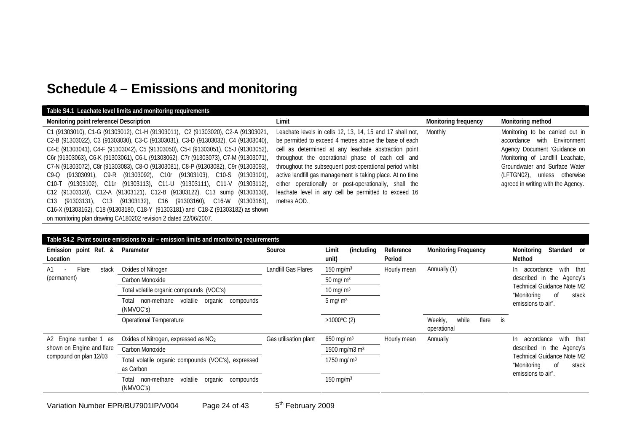## **Schedule 4 – Emissions and monitoring**

#### **Table S4.1 Leachate level limits and monitoring requirements**

| Monitoring point reference/ Description                                                                                                                                                                                                                                                                                                                                                                                                                                                                                                                                                                                                                             | Limit                                                                                                                                                                                                                                                                                                                                                                                                                                                                               | Monitoring frequency | Monitoring method                                                                                                                                                                                                                        |
|---------------------------------------------------------------------------------------------------------------------------------------------------------------------------------------------------------------------------------------------------------------------------------------------------------------------------------------------------------------------------------------------------------------------------------------------------------------------------------------------------------------------------------------------------------------------------------------------------------------------------------------------------------------------|-------------------------------------------------------------------------------------------------------------------------------------------------------------------------------------------------------------------------------------------------------------------------------------------------------------------------------------------------------------------------------------------------------------------------------------------------------------------------------------|----------------------|------------------------------------------------------------------------------------------------------------------------------------------------------------------------------------------------------------------------------------------|
| C1 (91303010), C1-G (91303012), C1-H (91303011), C2 (91303020), C2-A (91303021,<br>C2-B (91303022), C3 (91303030), C3-C (91303031), C3-D (91303032), C4 (91303040),<br>C4-E (91303041), C4-F (91303042), C5 (91303050), C5-I (91303051), C5-J (91303052),<br>C6r (91303063), C6-K (91303061), C6-L (91303062), C7r (91303073), C7-M (91303071),<br>C7-N (91303072), C8r (91303083), C8-O (91303081), C8-P (91303082), C9r (91303093),<br>C9-Q (91303091), C9-R (91303092), C10r (91303103), C10-S (91303101),<br>C10-T (91303102), C11r (91303113), C11-U (91303111), C11-V (91303112),<br>C12 (91303120), C12-A (91303121), C12-B (91303122), C13 sump (91303130), | Leachate levels in cells 12, 13, 14, 15 and 17 shall not, Monthly<br>be permitted to exceed 4 metres above the base of each<br>cell as determined at any leachate abstraction point<br>throughout the operational phase of each cell and<br>throughout the subsequent post-operational period whilst<br>active landfill gas management is taking place. At no time<br>either operationally or post-operationally, shall the<br>leachate level in any cell be permitted to exceed 16 |                      | Monitoring to be carried out in<br>accordance with Environment<br>Agency Document 'Guidance on<br>Monitoring of Landfill Leachate,<br>Groundwater and Surface Water<br>(LFTGN02), unless otherwise<br>agreed in writing with the Agency. |
| C13 (91303131), C13 (91303132), C16 (91303160), C16-W<br>(91303161),<br>C16-X (91303162), C18 (91303180, C18-Y (91303181) and C18-Z (91303182) as shown                                                                                                                                                                                                                                                                                                                                                                                                                                                                                                             | metres AOD.                                                                                                                                                                                                                                                                                                                                                                                                                                                                         |                      |                                                                                                                                                                                                                                          |
| on monitoring plan drawing CA180202 revision 2 dated 22/06/2007.                                                                                                                                                                                                                                                                                                                                                                                                                                                                                                                                                                                                    |                                                                                                                                                                                                                                                                                                                                                                                                                                                                                     |                      |                                                                                                                                                                                                                                          |

| Table S4.2 Point source emissions to air - emission limits and monitoring requirements |                                                                       |                       |                               |                     |                                                 |                                                                                                                                                  |  |  |
|----------------------------------------------------------------------------------------|-----------------------------------------------------------------------|-----------------------|-------------------------------|---------------------|-------------------------------------------------|--------------------------------------------------------------------------------------------------------------------------------------------------|--|--|
| Emission point Ref. &<br>Location                                                      | Parameter                                                             | Source                | (including)<br>Limit<br>unit) | Reference<br>Period | <b>Monitoring Frequency</b>                     | Standard or<br>Monitoring<br>Method                                                                                                              |  |  |
| Flare<br>A1<br>stack                                                                   | Oxides of Nitrogen                                                    | Landfill Gas Flares   | 150 mg/m <sup>3</sup>         | Hourly mean         | Annually (1)                                    | with<br>that<br>accordance<br>In.<br>described in the Agency's<br>Technical Guidance Note M2<br>"Monitoring<br>0f<br>stack<br>emissions to air". |  |  |
| (permanent)                                                                            | Carbon Monoxide                                                       |                       | 50 mg/ $m3$                   |                     |                                                 |                                                                                                                                                  |  |  |
|                                                                                        | Total volatile organic compounds (VOC's)                              |                       | 10 mg/ $m3$                   |                     |                                                 |                                                                                                                                                  |  |  |
|                                                                                        | volatile organic<br>Total<br>non-methane<br>compounds<br>(NMVOC's)    |                       | $5 \text{ mg/m}^3$            |                     |                                                 |                                                                                                                                                  |  |  |
|                                                                                        | <b>Operational Temperature</b>                                        |                       | $>1000^{\circ}$ C (2)         |                     | Weekly,<br>while<br>flare<br>is.<br>operational |                                                                                                                                                  |  |  |
| A2 Engine number 1 as                                                                  | Oxides of Nitrogen, expressed as NO <sub>2</sub>                      | Gas utilisation plant | 650 mg/ $m3$                  | Hourly mean         | Annually                                        | with that<br>accordance<br>In.<br>described in the Agency's<br>Technical Guidance Note M2<br>"Monitoring<br>stack<br>0f<br>emissions to air".    |  |  |
| shown on Engine and flare                                                              | Carbon Monoxide                                                       |                       | 1500 mg/m3 m <sup>3</sup>     |                     |                                                 |                                                                                                                                                  |  |  |
| compound on plan 12/03                                                                 | Total volatile organic compounds (VOC's), expressed<br>as Carbon      |                       | 1750 mg/ $m^3$                |                     |                                                 |                                                                                                                                                  |  |  |
|                                                                                        | volatile<br>non-methane<br>Total<br>organic<br>compounds<br>(NMVOC's) |                       | 150 mg/m $3$                  |                     |                                                 |                                                                                                                                                  |  |  |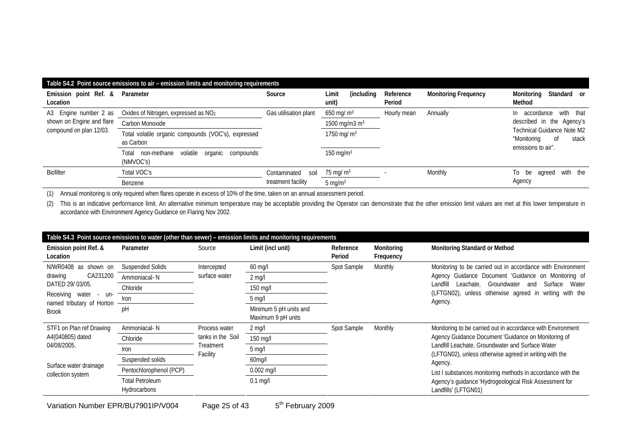| Table S4.2 Point source emissions to air – emission limits and monitoring requirements |                                                                       |                       |                               |                     |                             |                                                                                                                                            |  |  |
|----------------------------------------------------------------------------------------|-----------------------------------------------------------------------|-----------------------|-------------------------------|---------------------|-----------------------------|--------------------------------------------------------------------------------------------------------------------------------------------|--|--|
| Emission point Ref. &<br>Location                                                      | Parameter                                                             | Source                | Limit<br>(including)<br>unit) | Reference<br>Period | <b>Monitoring Frequency</b> | Standard or<br>Monitoring<br>Method                                                                                                        |  |  |
| A3 Engine number 2 as                                                                  | Oxides of Nitrogen, expressed as NO <sub>2</sub>                      | Gas utilisation plant | 650 mg/ $m3$<br>Hourly mean   |                     | Annually                    | accordance with that<br>In.<br>described in the Agency's<br>Technical Guidance Note M2<br>"Monitoring<br>0f<br>stack<br>emissions to air". |  |  |
| shown on Engine and flare                                                              | Carbon Monoxide                                                       |                       | 1500 mg/m3 m <sup>3</sup>     |                     |                             |                                                                                                                                            |  |  |
| compound on plan 12/03.                                                                | Total volatile organic compounds (VOC's), expressed<br>as Carbon      |                       | 1750 mg/ m <sup>3</sup>       |                     |                             |                                                                                                                                            |  |  |
|                                                                                        | volatile<br>Total<br>non-methane<br>organic<br>compounds<br>(NMVOC's) |                       | 150 mg/m $3$                  |                     |                             |                                                                                                                                            |  |  |
| <b>Biofilter</b>                                                                       | Total VOC's                                                           | Contaminated<br>soil  | 75 mg/ $m3$                   |                     | Monthly                     | with the<br>be agreed<br>Τo<br>Agency                                                                                                      |  |  |
|                                                                                        | Benzene                                                               | treatment facility    | $5 \text{ mg/m}^3$            |                     |                             |                                                                                                                                            |  |  |

(1) Annual monitoring is only required when flares operate in excess of 10% of the time, taken on an annual assessment period.

(2) This is an indicative performance limit. An alternative minimum temperature may be acceptable providing the Operator can demonstrate that the other emission limit values are met at this lower temperature in accordance with Environment Agency Guidance on Flaring Nov 2002.

| Table S4.3 Point source emissions to water (other than sewer) – emission limits and monitoring requirements |                                        |                                |                                              |                     |                         |                                                                                                                                                                                                                                             |  |  |
|-------------------------------------------------------------------------------------------------------------|----------------------------------------|--------------------------------|----------------------------------------------|---------------------|-------------------------|---------------------------------------------------------------------------------------------------------------------------------------------------------------------------------------------------------------------------------------------|--|--|
| Emission point Ref. &<br>Location                                                                           | Parameter                              | Source                         | Limit (incl unit)                            | Reference<br>Period | Monitoring<br>Frequency | Monitoring Standard or Method                                                                                                                                                                                                               |  |  |
| N/WR0408 as<br>shown on                                                                                     | <b>Suspended Solids</b>                | Intercepted                    | $60$ mg/l                                    | Spot Sample         | Monthly                 | Monitoring to be carried out in accordance with Environment                                                                                                                                                                                 |  |  |
| CA231200<br>drawing                                                                                         | Ammoniacal-N                           | surface water                  | $2$ mg/l                                     |                     |                         | Guidance Document 'Guidance on Monitoring of<br>Agency                                                                                                                                                                                      |  |  |
| DATED 29/03/05.                                                                                             | Chloride                               |                                | 150 mg/l                                     |                     |                         | Groundwater<br>Surface<br>Water<br>Leachate.<br>Landfill<br>and<br>(LFTGN02), unless otherwise agreed in writing with the                                                                                                                   |  |  |
| Receiving<br>water<br>un-<br>$\sim$<br>named tributary of Horton                                            | Iron                                   |                                | $5 \text{ mg/l}$                             |                     |                         | Agency.                                                                                                                                                                                                                                     |  |  |
| <b>Brook</b>                                                                                                | pΗ                                     |                                | Minimum 5 pH units and<br>Maximum 9 pH units |                     |                         |                                                                                                                                                                                                                                             |  |  |
| STF1 on Plan ref Drawing                                                                                    | Ammoniacal-N                           | Process water                  | $2$ mg/l                                     | Spot Sample         | Monthly                 | Monitoring to be carried out in accordance with Environment<br>Agency Guidance Document 'Guidance on Monitoring of<br>Landfill Leachate, Groundwater and Surface Water<br>(LFTGN02), unless otherwise agreed in writing with the<br>Agency. |  |  |
| A4(040805) dated                                                                                            | Chloride                               | tanks in the Soil<br>Treatment | 150 mg/l                                     |                     |                         |                                                                                                                                                                                                                                             |  |  |
| 04/08/2005.                                                                                                 | Iron                                   |                                | $5 \text{ mq/l}$                             |                     |                         |                                                                                                                                                                                                                                             |  |  |
|                                                                                                             | Suspended solids                       | Facility                       | 60mg/l                                       |                     |                         |                                                                                                                                                                                                                                             |  |  |
| Surface water drainage<br>collection system                                                                 | Pentochlorophenol (PCP)                |                                | $0.002$ mg/l                                 |                     |                         | List I substances monitoring methods in accordance with the                                                                                                                                                                                 |  |  |
|                                                                                                             | <b>Total Petroleum</b><br>Hydrocarbons |                                | $0.1$ mg/l                                   |                     |                         | Agency's guidance 'Hydrogeological Risk Assessment for<br>Landfills' (LFTGN01)                                                                                                                                                              |  |  |
|                                                                                                             |                                        |                                |                                              |                     |                         |                                                                                                                                                                                                                                             |  |  |

Variation Number EPR/BU7901IP/V004 Page 25 of 43 5<sup>th</sup> February 2009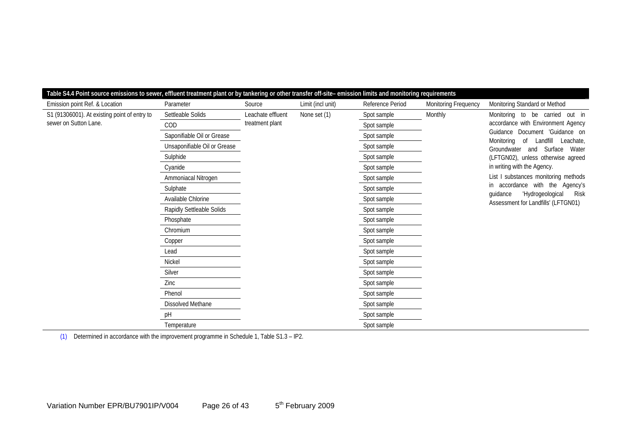| Table S4.4 Point source emissions to sewer, effluent treatment plant or by tankering or other transfer off-site– emission limits and monitoring requirements |                              |                   |                   |                  |                      |                                                                                                                                                                                                                                                                                                                                                                                                                                          |
|--------------------------------------------------------------------------------------------------------------------------------------------------------------|------------------------------|-------------------|-------------------|------------------|----------------------|------------------------------------------------------------------------------------------------------------------------------------------------------------------------------------------------------------------------------------------------------------------------------------------------------------------------------------------------------------------------------------------------------------------------------------------|
| Emission point Ref. & Location                                                                                                                               | Parameter                    | Source            | Limit (incl unit) | Reference Period | Monitoring Frequency | Monitoring Standard or Method                                                                                                                                                                                                                                                                                                                                                                                                            |
| S1 (91306001). At existing point of entry to                                                                                                                 | Settleable Solids            | Leachate effluent | None set (1)      | Spot sample      | Monthly              | Monitoring to be carried out in<br>accordance with Environment Agency<br>Guidance Document 'Guidance on<br>Landfill<br>Monitoring<br><sub>of</sub><br>Leachate,<br>Groundwater<br>and Surface<br>Water<br>(LFTGN02), unless otherwise agreed<br>in writing with the Agency.<br>List I substances monitoring methods<br>accordance with the Agency's<br>in<br>'Hydrogeological<br>guidance<br>Risk<br>Assessment for Landfills' (LFTGN01) |
| sewer on Sutton Lane.                                                                                                                                        | COD                          | treatment plant   |                   | Spot sample      |                      |                                                                                                                                                                                                                                                                                                                                                                                                                                          |
|                                                                                                                                                              | Saponifiable Oil or Grease   |                   |                   | Spot sample      |                      |                                                                                                                                                                                                                                                                                                                                                                                                                                          |
|                                                                                                                                                              | Unsaponifiable Oil or Grease |                   |                   | Spot sample      |                      |                                                                                                                                                                                                                                                                                                                                                                                                                                          |
|                                                                                                                                                              | Sulphide                     |                   |                   | Spot sample      |                      |                                                                                                                                                                                                                                                                                                                                                                                                                                          |
|                                                                                                                                                              | Cyanide                      |                   |                   | Spot sample      |                      |                                                                                                                                                                                                                                                                                                                                                                                                                                          |
|                                                                                                                                                              | Ammoniacal Nitrogen          |                   |                   | Spot sample      |                      |                                                                                                                                                                                                                                                                                                                                                                                                                                          |
|                                                                                                                                                              | Sulphate                     |                   |                   | Spot sample      |                      |                                                                                                                                                                                                                                                                                                                                                                                                                                          |
|                                                                                                                                                              | Available Chlorine           |                   |                   | Spot sample      |                      |                                                                                                                                                                                                                                                                                                                                                                                                                                          |
|                                                                                                                                                              | Rapidly Settleable Solids    |                   |                   | Spot sample      |                      |                                                                                                                                                                                                                                                                                                                                                                                                                                          |
|                                                                                                                                                              | Phosphate                    |                   |                   | Spot sample      |                      |                                                                                                                                                                                                                                                                                                                                                                                                                                          |
|                                                                                                                                                              | Chromium                     |                   |                   | Spot sample      |                      |                                                                                                                                                                                                                                                                                                                                                                                                                                          |
|                                                                                                                                                              | Copper                       |                   |                   | Spot sample      |                      |                                                                                                                                                                                                                                                                                                                                                                                                                                          |
|                                                                                                                                                              | Lead                         |                   |                   | Spot sample      |                      |                                                                                                                                                                                                                                                                                                                                                                                                                                          |
|                                                                                                                                                              | Nickel                       |                   |                   | Spot sample      |                      |                                                                                                                                                                                                                                                                                                                                                                                                                                          |
|                                                                                                                                                              | Silver                       |                   |                   | Spot sample      |                      |                                                                                                                                                                                                                                                                                                                                                                                                                                          |
|                                                                                                                                                              | Zinc                         |                   |                   | Spot sample      |                      |                                                                                                                                                                                                                                                                                                                                                                                                                                          |
|                                                                                                                                                              | Phenol                       |                   |                   | Spot sample      |                      |                                                                                                                                                                                                                                                                                                                                                                                                                                          |
|                                                                                                                                                              | Dissolved Methane            |                   |                   | Spot sample      |                      |                                                                                                                                                                                                                                                                                                                                                                                                                                          |
|                                                                                                                                                              | pH                           |                   |                   | Spot sample      |                      |                                                                                                                                                                                                                                                                                                                                                                                                                                          |
|                                                                                                                                                              | Temperature                  |                   |                   | Spot sample      |                      |                                                                                                                                                                                                                                                                                                                                                                                                                                          |

(1) Determined in accordance with the improvement programme in Schedule 1, Table S1.3 – IP2.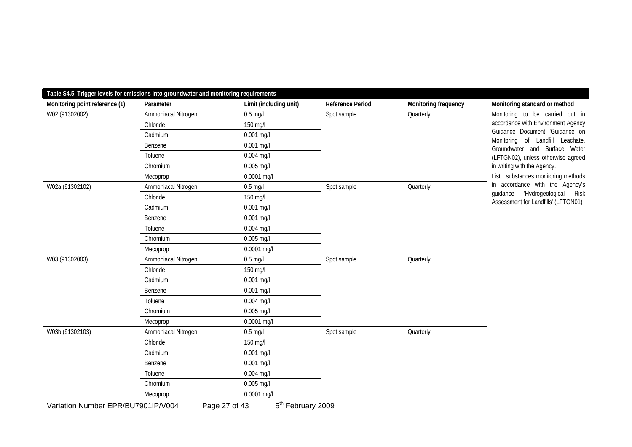| Table S4.5 Trigger levels for emissions into groundwater and monitoring requirements |                     |                               |                  |                      |                                                                                                           |  |  |  |
|--------------------------------------------------------------------------------------|---------------------|-------------------------------|------------------|----------------------|-----------------------------------------------------------------------------------------------------------|--|--|--|
| Monitoring point reference (1)                                                       | Parameter           | Limit (including unit)        | Reference Period | Monitoring frequency | Monitoring standard or method                                                                             |  |  |  |
| W02 (91302002)                                                                       | Ammoniacal Nitrogen | $0.5$ mg/l                    | Spot sample      | Quarterly            | Monitoring to be carried out in                                                                           |  |  |  |
|                                                                                      | Chloride            | 150 mg/l                      |                  |                      | accordance with Environment Agency<br>Guidance Document 'Guidance on<br>Landfill Leachate,                |  |  |  |
|                                                                                      | Cadmium             | $0.001$ mg/l                  |                  |                      |                                                                                                           |  |  |  |
|                                                                                      | Benzene             | $0.001$ mg/l                  |                  |                      | Monitoring of<br>Groundwater and Surface Water                                                            |  |  |  |
|                                                                                      | Toluene             | $0.004$ mg/l                  |                  |                      | (LFTGN02), unless otherwise agreed<br>in writing with the Agency.<br>List I substances monitoring methods |  |  |  |
|                                                                                      | Chromium            | $0.005$ mg/l                  |                  |                      |                                                                                                           |  |  |  |
|                                                                                      | Mecoprop            | 0.0001 mg/l                   |                  |                      |                                                                                                           |  |  |  |
| W02a (91302102)                                                                      | Ammoniacal Nitrogen | $0.5$ mg/l                    | Spot sample      | Quarterly            | in accordance with the Agency's                                                                           |  |  |  |
|                                                                                      | Chloride            | 150 mg/l                      |                  |                      | 'Hydrogeological<br>guidance<br>Risk<br>Assessment for Landfills' (LFTGN01)                               |  |  |  |
|                                                                                      | Cadmium             | $0.001$ mg/l                  |                  |                      |                                                                                                           |  |  |  |
|                                                                                      | Benzene             | $0.001$ mg/l                  |                  |                      |                                                                                                           |  |  |  |
|                                                                                      | Toluene             | $0.004$ mg/l                  |                  |                      |                                                                                                           |  |  |  |
|                                                                                      | Chromium            | $0.005$ mg/l                  |                  |                      |                                                                                                           |  |  |  |
|                                                                                      | Mecoprop            | 0.0001 mg/l                   |                  |                      |                                                                                                           |  |  |  |
| W03 (91302003)                                                                       | Ammoniacal Nitrogen | $0.5$ mg/l                    | Spot sample      | Quarterly            |                                                                                                           |  |  |  |
|                                                                                      | Chloride            | 150 mg/l                      |                  |                      |                                                                                                           |  |  |  |
|                                                                                      | Cadmium             | $0.001$ mg/l                  |                  |                      |                                                                                                           |  |  |  |
|                                                                                      | Benzene             | $0.001$ mg/l                  |                  |                      |                                                                                                           |  |  |  |
|                                                                                      | Toluene             | $0.004$ mg/l                  |                  |                      |                                                                                                           |  |  |  |
|                                                                                      | Chromium            | $0.005$ mg/l                  |                  |                      |                                                                                                           |  |  |  |
|                                                                                      | Mecoprop            | 0.0001 mg/l                   |                  |                      |                                                                                                           |  |  |  |
| W03b (91302103)                                                                      | Ammoniacal Nitrogen | $0.5$ mg/l                    | Spot sample      | Quarterly            |                                                                                                           |  |  |  |
|                                                                                      | Chloride            | 150 mg/l                      |                  |                      |                                                                                                           |  |  |  |
|                                                                                      | Cadmium             | $0.001$ mg/l                  |                  |                      |                                                                                                           |  |  |  |
|                                                                                      | Benzene             | $0.001$ mg/l                  |                  |                      |                                                                                                           |  |  |  |
|                                                                                      | Toluene             | $0.004$ mg/l                  |                  |                      |                                                                                                           |  |  |  |
|                                                                                      | Chromium            | $0.005$ mg/l                  |                  |                      |                                                                                                           |  |  |  |
|                                                                                      | Mecoprop            | 0.0001 mg/l                   |                  |                      |                                                                                                           |  |  |  |
| Variation Number EPR/BU7901IP/V004                                                   | Page 27 of 43       | 5 <sup>th</sup> February 2009 |                  |                      |                                                                                                           |  |  |  |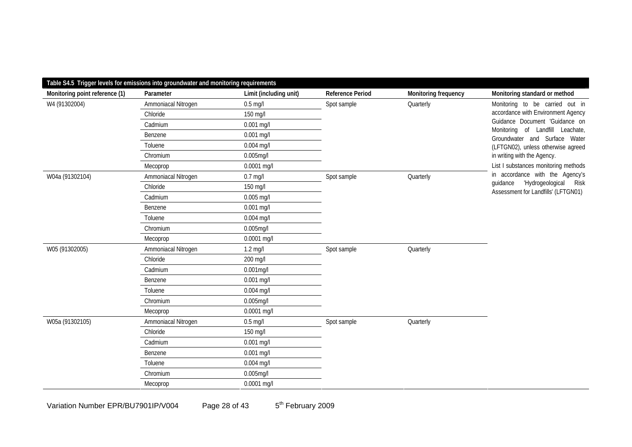| Table S4.5 Trigger levels for emissions into groundwater and monitoring requirements |                     |                        |                         |                      |                                                                                                        |  |  |  |
|--------------------------------------------------------------------------------------|---------------------|------------------------|-------------------------|----------------------|--------------------------------------------------------------------------------------------------------|--|--|--|
| Monitoring point reference (1)                                                       | Parameter           | Limit (including unit) | <b>Reference Period</b> | Monitoring frequency | Monitoring standard or method                                                                          |  |  |  |
| W4 (91302004)                                                                        | Ammoniacal Nitrogen | $0.5$ mg/l             | Spot sample             | Quarterly            | Monitoring to be carried out in                                                                        |  |  |  |
|                                                                                      | Chloride            | 150 mg/l               |                         |                      | accordance with Environment Agency                                                                     |  |  |  |
|                                                                                      | Cadmium             | 0.001 mg/l             |                         |                      | Guidance Document 'Guidance on<br>Monitoring<br>of Landfill Leachate,<br>Groundwater and Surface Water |  |  |  |
|                                                                                      | Benzene             | $0.001$ mg/l           |                         |                      |                                                                                                        |  |  |  |
|                                                                                      | Toluene             | 0.004 mg/l             |                         |                      | (LFTGN02), unless otherwise agreed                                                                     |  |  |  |
|                                                                                      | Chromium            | $0.005$ mg/l           |                         |                      | in writing with the Agency.                                                                            |  |  |  |
|                                                                                      | Mecoprop            | $0.0001$ mg/l          |                         |                      | List I substances monitoring methods                                                                   |  |  |  |
| W04a (91302104)                                                                      | Ammoniacal Nitrogen | $0.7$ mg/l             | Spot sample             | Quarterly            | in accordance with the Agency's                                                                        |  |  |  |
|                                                                                      | Chloride            | 150 mg/l               |                         |                      | 'Hydrogeological<br>guidance<br>Risk<br>Assessment for Landfills' (LFTGN01)                            |  |  |  |
|                                                                                      | Cadmium             | $0.005$ mg/l           |                         |                      |                                                                                                        |  |  |  |
|                                                                                      | Benzene             | 0.001 mg/l             |                         |                      |                                                                                                        |  |  |  |
|                                                                                      | Toluene             | $0.004$ mg/l           |                         |                      |                                                                                                        |  |  |  |
|                                                                                      | Chromium            | 0.005mg/l              |                         |                      |                                                                                                        |  |  |  |
|                                                                                      | Mecoprop            | 0.0001 mg/l            |                         |                      |                                                                                                        |  |  |  |
| W05 (91302005)                                                                       | Ammoniacal Nitrogen | $1.2$ mg/l             | Spot sample             | Quarterly            |                                                                                                        |  |  |  |
|                                                                                      | Chloride            | 200 mg/l               |                         |                      |                                                                                                        |  |  |  |
|                                                                                      | Cadmium             | $0.001$ mg/l           |                         |                      |                                                                                                        |  |  |  |
|                                                                                      | Benzene             | $0.001$ mg/l           |                         |                      |                                                                                                        |  |  |  |
|                                                                                      | Toluene             | $0.004$ mg/l           |                         |                      |                                                                                                        |  |  |  |
|                                                                                      | Chromium            | $0.005$ mg/l           |                         |                      |                                                                                                        |  |  |  |
|                                                                                      | Mecoprop            | 0.0001 mg/l            |                         |                      |                                                                                                        |  |  |  |
| W05a (91302105)                                                                      | Ammoniacal Nitrogen | $0.5$ mg/l             | Spot sample             | Quarterly            |                                                                                                        |  |  |  |
|                                                                                      | Chloride            | 150 mg/l               |                         |                      |                                                                                                        |  |  |  |
|                                                                                      | Cadmium             | $0.001$ mg/l           |                         |                      |                                                                                                        |  |  |  |
|                                                                                      | Benzene             | $0.001$ mg/l           |                         |                      |                                                                                                        |  |  |  |
|                                                                                      | Toluene             | $0.004$ mg/l           |                         |                      |                                                                                                        |  |  |  |
|                                                                                      | Chromium            | $0.005$ mg/l           |                         |                      |                                                                                                        |  |  |  |
|                                                                                      | Mecoprop            | $0.0001$ mg/l          |                         |                      |                                                                                                        |  |  |  |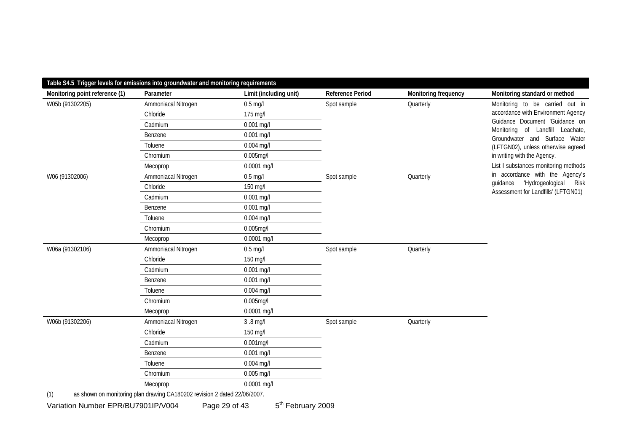| Table S4.5 Trigger levels for emissions into groundwater and monitoring requirements |                                      |                        |                         |                      |                                                                             |  |  |  |
|--------------------------------------------------------------------------------------|--------------------------------------|------------------------|-------------------------|----------------------|-----------------------------------------------------------------------------|--|--|--|
| Monitoring point reference (1)                                                       | Parameter                            | Limit (including unit) | <b>Reference Period</b> | Monitoring frequency | Monitoring standard or method                                               |  |  |  |
| W05b (91302205)                                                                      | Ammoniacal Nitrogen                  | $0.5$ mg/l             | Spot sample             | Quarterly            | Monitoring to be carried out in                                             |  |  |  |
|                                                                                      | Chloride                             | 175 mg/l               |                         |                      | accordance with Environment Agency                                          |  |  |  |
|                                                                                      | Cadmium                              | $0.001$ mg/l           |                         |                      | Guidance Document 'Guidance on<br>Landfill Leachate,<br>Monitoring of       |  |  |  |
|                                                                                      | Benzene                              | $0.001$ mg/l           |                         |                      | Groundwater and Surface Water                                               |  |  |  |
|                                                                                      | Toluene                              | 0.004 mg/l             |                         |                      | (LFTGN02), unless otherwise agreed                                          |  |  |  |
|                                                                                      | Chromium                             | $0.005$ mg/l           |                         |                      | in writing with the Agency.                                                 |  |  |  |
|                                                                                      | Mecoprop                             | $0.0001$ mg/l          |                         |                      | List I substances monitoring methods                                        |  |  |  |
| W06 (91302006)                                                                       | Ammoniacal Nitrogen                  | $0.5$ mg/l             | Spot sample             | Quarterly            | in accordance with the Agency's                                             |  |  |  |
|                                                                                      | Chloride                             | 150 mg/l               |                         |                      | 'Hydrogeological<br>guidance<br>Risk<br>Assessment for Landfills' (LFTGN01) |  |  |  |
|                                                                                      | Cadmium                              | $0.001$ mg/l           |                         |                      |                                                                             |  |  |  |
|                                                                                      | Benzene                              | $0.001$ mg/l           |                         |                      |                                                                             |  |  |  |
|                                                                                      | Toluene                              | 0.004 mg/l             |                         |                      |                                                                             |  |  |  |
|                                                                                      | Chromium                             | $0.005$ mg/l           |                         |                      |                                                                             |  |  |  |
|                                                                                      | Mecoprop                             | 0.0001 mg/l            |                         |                      |                                                                             |  |  |  |
| W06a (91302106)                                                                      | Ammoniacal Nitrogen                  | $0.5$ mg/l             | Spot sample             | Quarterly            |                                                                             |  |  |  |
|                                                                                      | Chloride                             | 150 mg/l               |                         |                      |                                                                             |  |  |  |
|                                                                                      | Cadmium                              | $0.001$ mg/l           |                         |                      |                                                                             |  |  |  |
|                                                                                      | Benzene                              | 0.001 mg/l             |                         |                      |                                                                             |  |  |  |
|                                                                                      | Toluene                              | 0.004 mg/l             |                         |                      |                                                                             |  |  |  |
|                                                                                      | Chromium                             | $0.005$ mg/l           |                         |                      |                                                                             |  |  |  |
|                                                                                      | Mecoprop                             | 0.0001 mg/l            |                         |                      |                                                                             |  |  |  |
| W06b (91302206)                                                                      | Ammoniacal Nitrogen                  | 3.8 mg/l               | Spot sample             | Quarterly            |                                                                             |  |  |  |
|                                                                                      | Chloride                             | 150 mg/l               |                         |                      |                                                                             |  |  |  |
|                                                                                      | Cadmium                              | $0.001$ mg/l           |                         |                      |                                                                             |  |  |  |
|                                                                                      | Benzene                              | $0.001$ mg/l           |                         |                      |                                                                             |  |  |  |
|                                                                                      | Toluene                              | $0.004$ mg/l           |                         |                      |                                                                             |  |  |  |
|                                                                                      | Chromium                             | 0.005 mg/l             |                         |                      |                                                                             |  |  |  |
|                                                                                      | Mecoprop                             | 0.0001 mg/l            |                         |                      |                                                                             |  |  |  |
| $\sqrt{2}$<br>$\cdots$                                                               | $0.11000000$ $1.0011$ $0.0010100007$ |                        |                         |                      |                                                                             |  |  |  |

(1) as shown on monitoring plan drawing CA180202 revision 2 dated 22/06/2007.

Variation Number EPR/BU7901IP/V004 Page 29 of 43  $5<sup>th</sup>$  February 2009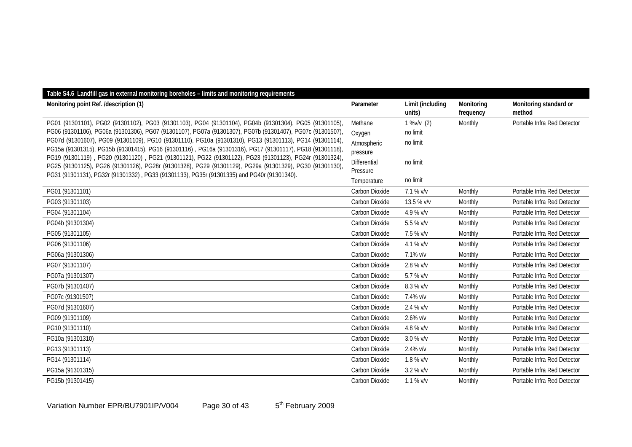| Table S4.6 Landfill gas in external monitoring boreholes - limits and monitoring requirements                                                                                                                     |                |                            |                         |                                  |
|-------------------------------------------------------------------------------------------------------------------------------------------------------------------------------------------------------------------|----------------|----------------------------|-------------------------|----------------------------------|
| Monitoring point Ref. /description (1)                                                                                                                                                                            | Parameter      | Limit (including<br>units) | Monitoring<br>frequency | Monitoring standard or<br>method |
| PG01 (91301101), PG02 (91301102), PG03 (91301103), PG04 (91301104), PG04b (91301304), PG05 (91301105),                                                                                                            | Methane        | $1\%$ v/v $(2)$            | Monthly                 | Portable Infra Red Detector      |
| PG06 (91301106), PG06a (91301306), PG07 (91301107), PG07a (91301307), PG07b (91301407), PG07c (91301507),                                                                                                         | Oxygen         | no limit                   |                         |                                  |
| PG07d (91301607), PG09 (91301109), PG10 (91301110), PG10a (91301310), PG13 (91301113), PG14 (91301114),                                                                                                           | Atmospheric    | no limit                   |                         |                                  |
| PG15a (91301315), PG15b (91301415), PG16 (91301116), PG16a (91301316), PG17 (91301117), PG18 (91301118),                                                                                                          | pressure       |                            |                         |                                  |
| PG19 (91301119), PG20 (91301120), PG21 (91301121), PG22 (91301122), PG23 (91301123), PG24r (91301324),<br>PG25 (91301125), PG26 (91301126), PG28r (91301328), PG29 (91301129), PG29a (91301329), PG30 (91301130), | Differential   | no limit                   |                         |                                  |
| PG31 (91301131), PG32r (91301332), PG33 (91301133), PG35r (91301335) and PG40r (91301340).                                                                                                                        | Pressure       |                            |                         |                                  |
|                                                                                                                                                                                                                   | Temperature    | no limit                   |                         |                                  |
| PG01 (91301101)                                                                                                                                                                                                   | Carbon Dioxide | 7.1 % v/v                  | Monthly                 | Portable Infra Red Detector      |
| PG03 (91301103)                                                                                                                                                                                                   | Carbon Dioxide | 13.5 % v/v                 | Monthly                 | Portable Infra Red Detector      |
| PG04 (91301104)                                                                                                                                                                                                   | Carbon Dioxide | 4.9 % v/v                  | Monthly                 | Portable Infra Red Detector      |
| PG04b (91301304)                                                                                                                                                                                                  | Carbon Dioxide | 5.5 % v/v                  | Monthly                 | Portable Infra Red Detector      |
| PG05 (91301105)                                                                                                                                                                                                   | Carbon Dioxide | 7.5 % v/v                  | Monthly                 | Portable Infra Red Detector      |
| PG06 (91301106)                                                                                                                                                                                                   | Carbon Dioxide | 4.1 % v/v                  | Monthly                 | Portable Infra Red Detector      |
| PG06a (91301306)                                                                                                                                                                                                  | Carbon Dioxide | 7.1% v/v                   | Monthly                 | Portable Infra Red Detector      |
| PG07 (91301107)                                                                                                                                                                                                   | Carbon Dioxide | 2.8 % v/v                  | Monthly                 | Portable Infra Red Detector      |
| PG07a (91301307)                                                                                                                                                                                                  | Carbon Dioxide | 5.7 % v/v                  | Monthly                 | Portable Infra Red Detector      |
| PG07b (91301407)                                                                                                                                                                                                  | Carbon Dioxide | 8.3 % v/v                  | Monthly                 | Portable Infra Red Detector      |
| PG07c (91301507)                                                                                                                                                                                                  | Carbon Dioxide | 7.4% v/v                   | Monthly                 | Portable Infra Red Detector      |
| PG07d (91301607)                                                                                                                                                                                                  | Carbon Dioxide | 2.4 % v/v                  | Monthly                 | Portable Infra Red Detector      |
| PG09 (91301109)                                                                                                                                                                                                   | Carbon Dioxide | 2.6% v/v                   | Monthly                 | Portable Infra Red Detector      |
| PG10 (91301110)                                                                                                                                                                                                   | Carbon Dioxide | 4.8 % v/v                  | Monthly                 | Portable Infra Red Detector      |
| PG10a (91301310)                                                                                                                                                                                                  | Carbon Dioxide | 3.0 % v/v                  | Monthly                 | Portable Infra Red Detector      |
| PG13 (91301113)                                                                                                                                                                                                   | Carbon Dioxide | 2.4% v/v                   | Monthly                 | Portable Infra Red Detector      |
| PG14 (91301114)                                                                                                                                                                                                   | Carbon Dioxide | 1.8 % v/v                  | Monthly                 | Portable Infra Red Detector      |
| PG15a (91301315)                                                                                                                                                                                                  | Carbon Dioxide | 3.2 % v/v                  | Monthly                 | Portable Infra Red Detector      |
| PG15b (91301415)                                                                                                                                                                                                  | Carbon Dioxide | 1.1 % v/v                  | Monthly                 | Portable Infra Red Detector      |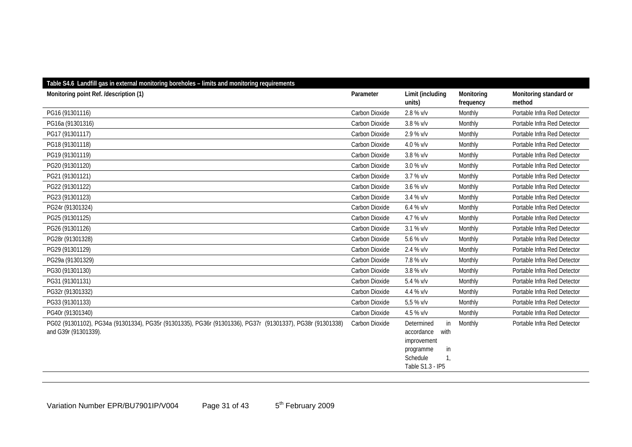| Table S4.6 Landfill gas in external monitoring boreholes - limits and monitoring requirements                                     |                |                                                                                            |                         |                                  |
|-----------------------------------------------------------------------------------------------------------------------------------|----------------|--------------------------------------------------------------------------------------------|-------------------------|----------------------------------|
| Monitoring point Ref. /description (1)                                                                                            | Parameter      | Limit (including<br>units)                                                                 | Monitoring<br>frequency | Monitoring standard or<br>method |
| PG16 (91301116)                                                                                                                   | Carbon Dioxide | 2.8 % v/v                                                                                  | Monthly                 | Portable Infra Red Detector      |
| PG16a (91301316)                                                                                                                  | Carbon Dioxide | 3.8 % v/v                                                                                  | Monthly                 | Portable Infra Red Detector      |
| PG17 (91301117)                                                                                                                   | Carbon Dioxide | 2.9 % v/v                                                                                  | Monthly                 | Portable Infra Red Detector      |
| PG18 (91301118)                                                                                                                   | Carbon Dioxide | 4.0 % v/v                                                                                  | Monthly                 | Portable Infra Red Detector      |
| PG19 (91301119)                                                                                                                   | Carbon Dioxide | 3.8 % v/v                                                                                  | Monthly                 | Portable Infra Red Detector      |
| PG20 (91301120)                                                                                                                   | Carbon Dioxide | 3.0 % v/v                                                                                  | Monthly                 | Portable Infra Red Detector      |
| PG21 (91301121)                                                                                                                   | Carbon Dioxide | 3.7 % v/v                                                                                  | Monthly                 | Portable Infra Red Detector      |
| PG22 (91301122)                                                                                                                   | Carbon Dioxide | 3.6 % v/v                                                                                  | Monthly                 | Portable Infra Red Detector      |
| PG23 (91301123)                                                                                                                   | Carbon Dioxide | 3.4 % v/v                                                                                  | Monthly                 | Portable Infra Red Detector      |
| PG24r (91301324)                                                                                                                  | Carbon Dioxide | 6.4 % v/v                                                                                  | Monthly                 | Portable Infra Red Detector      |
| PG25 (91301125)                                                                                                                   | Carbon Dioxide | 4.7 % v/v                                                                                  | Monthly                 | Portable Infra Red Detector      |
| PG26 (91301126)                                                                                                                   | Carbon Dioxide | $3.1 %$ V/v                                                                                | Monthly                 | Portable Infra Red Detector      |
| PG28r (91301328)                                                                                                                  | Carbon Dioxide | 5.6 % v/v                                                                                  | Monthly                 | Portable Infra Red Detector      |
| PG29 (91301129)                                                                                                                   | Carbon Dioxide | 2.4 % v/v                                                                                  | Monthly                 | Portable Infra Red Detector      |
| PG29a (91301329)                                                                                                                  | Carbon Dioxide | 7.8 % v/v                                                                                  | Monthly                 | Portable Infra Red Detector      |
| PG30 (91301130)                                                                                                                   | Carbon Dioxide | 3.8 % v/v                                                                                  | Monthly                 | Portable Infra Red Detector      |
| PG31 (91301131)                                                                                                                   | Carbon Dioxide | 5.4 % v/v                                                                                  | Monthly                 | Portable Infra Red Detector      |
| PG32r (91301332)                                                                                                                  | Carbon Dioxide | 4.4 % v/v                                                                                  | Monthly                 | Portable Infra Red Detector      |
| PG33 (91301133)                                                                                                                   | Carbon Dioxide | 5,5 % v/v                                                                                  | Monthly                 | Portable Infra Red Detector      |
| PG40r (91301340)                                                                                                                  | Carbon Dioxide | 4.5 % v/v                                                                                  | Monthly                 | Portable Infra Red Detector      |
| PG02 (91301102), PG34a (91301334), PG35r (91301335), PG36r (91301336), PG37r (91301337), PG38r (91301338)<br>and G39r (91301339). | Carbon Dioxide | in<br>Determined<br>accordance<br>with<br>improvement<br>in<br>programme<br>Schedule<br>1. | Monthly                 | Portable Infra Red Detector      |
|                                                                                                                                   |                | Table S1.3 - IP5                                                                           |                         |                                  |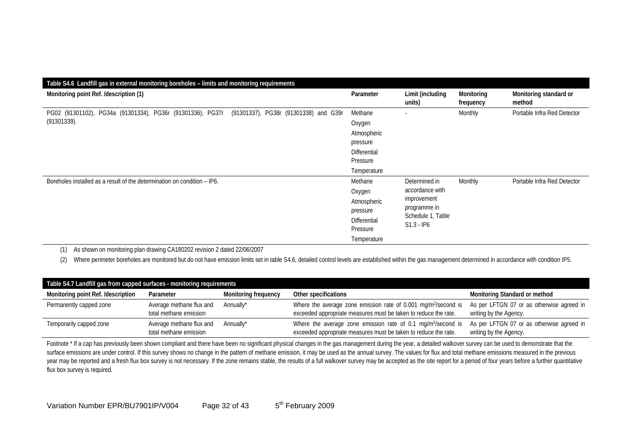| Table S4.6 Landfill gas in external monitoring boreholes - limits and monitoring requirements                         |                                                                                                |                                                                                                      |                         |                                  |  |  |
|-----------------------------------------------------------------------------------------------------------------------|------------------------------------------------------------------------------------------------|------------------------------------------------------------------------------------------------------|-------------------------|----------------------------------|--|--|
| Monitoring point Ref. /description (1)                                                                                | Parameter                                                                                      | Limit (including<br>units)                                                                           | Monitoring<br>frequency | Monitoring standard or<br>method |  |  |
| PG02 (91301102), PG34a (91301334), PG36r (91301336), PG37r<br>(91301337), PG38r (91301338) and G39r<br>$(91301339)$ . | Methane<br>Oxygen<br>Atmospheric<br>pressure<br>Differential<br>Pressure<br>Temperature        |                                                                                                      | Monthly                 | Portable Infra Red Detector      |  |  |
| Boreholes installed as a result of the determination on condition – IP6.                                              | Methane<br>Oxygen<br>Atmospheric<br>pressure<br><b>Differential</b><br>Pressure<br>Temperature | Determined in<br>accordance with<br>improvement<br>programme in<br>Schedule 1, Table<br>$S1.3 - IP6$ | Monthly                 | Portable Infra Red Detector      |  |  |

(1) As shown on monitoring plan drawing CA180202 revision 2 dated 22/06/2007

(2) Where perimeter boreholes are monitored but do not have emission limits set in table S4.6, detailed control levels are established within the gas management determined in accordance with condition IP5.

| Table S4.7 Landfill gas from capped surfaces - monitoring requirements |                                                    |                             |                                                                                                                                               |                                                                     |  |  |  |
|------------------------------------------------------------------------|----------------------------------------------------|-----------------------------|-----------------------------------------------------------------------------------------------------------------------------------------------|---------------------------------------------------------------------|--|--|--|
| Monitoring point Ref. /description                                     | Parameter                                          | <b>Monitoring frequency</b> | Other specifications                                                                                                                          | Monitoring Standard or method                                       |  |  |  |
| Permanently capped zone                                                | Average methane flux and<br>total methane emission | Annually*                   | Where the average zone emission rate of 0.001 mg/m <sup>2</sup> /second is<br>exceeded appropriate measures must be taken to reduce the rate. | As per LFTGN 07 or as otherwise agreed in<br>writing by the Agency. |  |  |  |
| Temporarily capped zone                                                | Average methane flux and<br>total methane emission | Annually*                   | Where the average zone emission rate of 0.1 mg/m <sup>2</sup> /second is<br>exceeded appropriate measures must be taken to reduce the rate.   | As per LFTGN 07 or as otherwise agreed in<br>writing by the Agency. |  |  |  |

Footnote \* If a cap has previously been shown compliant and there have been no significant physical changes in the gas management during the year, a detailed walkover survey can be used to demonstrate that the surface emissions are under control. If this survey shows no change in the pattern of methane emission, it may be used as the annual survey. The values for flux and total methane emissions measured in the previous year may be reported and a fresh flux box survey is not necessary. If the zone remains stable, the results of a full walkover survey may be accepted as the site report for a period of four years before a further quantitati flux box survey is required.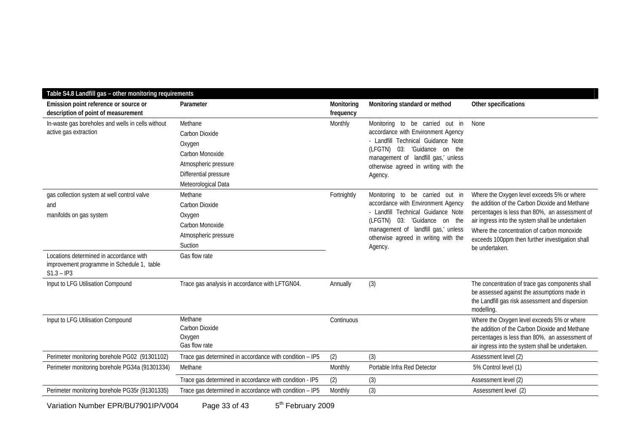| Table S4.8 Landfill gas - other monitoring requirements                                                                                                                                |                                                                                                                                |                         |                                                                                                                                                                                                                                       |                                                                                                                                                                                                                                                                                                                      |
|----------------------------------------------------------------------------------------------------------------------------------------------------------------------------------------|--------------------------------------------------------------------------------------------------------------------------------|-------------------------|---------------------------------------------------------------------------------------------------------------------------------------------------------------------------------------------------------------------------------------|----------------------------------------------------------------------------------------------------------------------------------------------------------------------------------------------------------------------------------------------------------------------------------------------------------------------|
| Emission point reference or source or<br>description of point of measurement                                                                                                           | Parameter                                                                                                                      | Monitoring<br>frequency | Monitoring standard or method                                                                                                                                                                                                         | Other specifications                                                                                                                                                                                                                                                                                                 |
| In-waste gas boreholes and wells in cells without<br>active gas extraction                                                                                                             | Methane<br>Carbon Dioxide<br>Oxygen<br>Carbon Monoxide<br>Atmospheric pressure<br>Differential pressure<br>Meteorological Data | Monthly                 | Monitoring to be carried out in<br>accordance with Environment Agency<br>- Landfill Technical Guidance Note<br>(LFGTN) 03: 'Guidance on the<br>management of landfill gas,' unless<br>otherwise agreed in writing with the<br>Agency. | None                                                                                                                                                                                                                                                                                                                 |
| gas collection system at well control valve<br>and<br>manifolds on gas system<br>Locations determined in accordance with<br>improvement programme in Schedule 1, table<br>$S1.3 - IP3$ | Methane<br>Carbon Dioxide<br>Oxygen<br>Carbon Monoxide<br>Atmospheric pressure<br>Suction<br>Gas flow rate                     | Fortnightly             | Monitoring to be carried out in<br>accordance with Environment Agency<br>- Landfill Technical Guidance Note<br>(LFGTN) 03: 'Guidance on the<br>management of landfill gas,' unless<br>otherwise agreed in writing with the<br>Agency. | Where the Oxygen level exceeds 5% or where<br>the addition of the Carbon Dioxide and Methane<br>percentages is less than 80%, an assessment of<br>air ingress into the system shall be undertaken<br>Where the concentration of carbon monoxide<br>exceeds 100ppm then further investigation shall<br>be undertaken. |
| Input to LFG Utilisation Compound                                                                                                                                                      | Trace gas analysis in accordance with LFTGN04.                                                                                 | Annually                | (3)                                                                                                                                                                                                                                   | The concentration of trace gas components shall<br>be assessed against the assumptions made in<br>the Landfill gas risk assessment and dispersion<br>modelling.                                                                                                                                                      |
| Input to LFG Utilisation Compound                                                                                                                                                      | Methane<br>Carbon Dioxide<br>Oxygen<br>Gas flow rate                                                                           | Continuous              |                                                                                                                                                                                                                                       | Where the Oxygen level exceeds 5% or where<br>the addition of the Carbon Dioxide and Methane<br>percentages is less than 80%, an assessment of<br>air ingress into the system shall be undertaken.                                                                                                                   |
| Perimeter monitoring borehole PG02 (91301102)                                                                                                                                          | Trace gas determined in accordance with condition - IP5                                                                        | (2)                     | (3)                                                                                                                                                                                                                                   | Assessment level (2)                                                                                                                                                                                                                                                                                                 |
| Perimeter monitoring borehole PG34a (91301334)                                                                                                                                         | Methane                                                                                                                        | Monthly                 | Portable Infra Red Detector                                                                                                                                                                                                           | 5% Control level (1)                                                                                                                                                                                                                                                                                                 |
|                                                                                                                                                                                        | Trace gas determined in accordance with condition - IP5                                                                        | (2)                     | (3)                                                                                                                                                                                                                                   | Assessment level (2)                                                                                                                                                                                                                                                                                                 |
| Perimeter monitoring borehole PG35r (91301335)                                                                                                                                         | Trace gas determined in accordance with condition - IP5                                                                        | Monthly                 | (3)                                                                                                                                                                                                                                   | Assessment level (2)                                                                                                                                                                                                                                                                                                 |
|                                                                                                                                                                                        |                                                                                                                                |                         |                                                                                                                                                                                                                                       |                                                                                                                                                                                                                                                                                                                      |

Variation Number EPR/BU7901IP/V004 Page 33 of 43 5<sup>th</sup> February 2009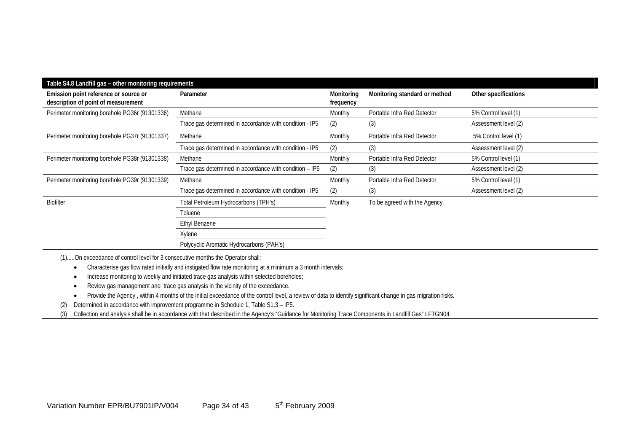| Table S4.8 Landfill gas - other monitoring requirements                      |                                                         |                         |                               |                      |  |  |  |
|------------------------------------------------------------------------------|---------------------------------------------------------|-------------------------|-------------------------------|----------------------|--|--|--|
| Emission point reference or source or<br>description of point of measurement | Parameter                                               | Monitoring<br>frequency | Monitoring standard or method | Other specifications |  |  |  |
| Perimeter monitoring borehole PG36r (91301336)                               | Methane                                                 | Monthly                 | Portable Infra Red Detector   | 5% Control level (1) |  |  |  |
|                                                                              | Trace gas determined in accordance with condition - IP5 | (2)                     | (3)                           | Assessment level (2) |  |  |  |
| Perimeter monitoring borehole PG37r (91301337)                               | Methane                                                 | Monthly                 | Portable Infra Red Detector   | 5% Control level (1) |  |  |  |
|                                                                              | Trace gas determined in accordance with condition - IP5 | (2)                     | (3)                           | Assessment level (2) |  |  |  |
| Perimeter monitoring borehole PG38r (91301338)                               | Methane                                                 | Monthly                 | Portable Infra Red Detector   | 5% Control level (1) |  |  |  |
|                                                                              | Trace gas determined in accordance with condition - IP5 | (2)                     | (3)                           | Assessment level (2) |  |  |  |
| Perimeter monitoring borehole PG39r (91301339)                               | Methane                                                 | <b>Monthly</b>          | Portable Infra Red Detector   | 5% Control level (1) |  |  |  |
|                                                                              | Trace gas determined in accordance with condition - IP5 | (2)                     | (3)                           | Assessment level (2) |  |  |  |
| <b>Biofilter</b>                                                             | Total Petroleum Hydrocarbons (TPH's)                    | Monthly                 | To be agreed with the Agency. |                      |  |  |  |
|                                                                              | Toluene                                                 |                         |                               |                      |  |  |  |
|                                                                              | <b>Ethyl Benzene</b>                                    |                         |                               |                      |  |  |  |
|                                                                              | Xylene                                                  |                         |                               |                      |  |  |  |
|                                                                              | Polycyclic Aromatic Hydrocarbons (PAH's)                |                         |                               |                      |  |  |  |

(1).....On exceedance of control level for 3 consecutive months the Operator shall:

- Characterise gas flow rated initially and instigated flow rate monitoring at a minimum a 3 month intervals;
- •Increase monitoring to weekly and initiated trace gas analysis within selected boreholes;
- •Review gas management and trace gas analysis in the vicinity of the exceedance.
- •Provide the Agency, within 4 months of the initial exceedance of the control level, a review of data to identify significant change in gas migration risks.
- (2) Determined in accordance with improvement programme in Schedule 1, Table S1.3 IP5.

(3) Collection and analysis shall be in accordance with that described in the Agency's "Guidance for Monitoring Trace Components in Landfill Gas" LFTGN04.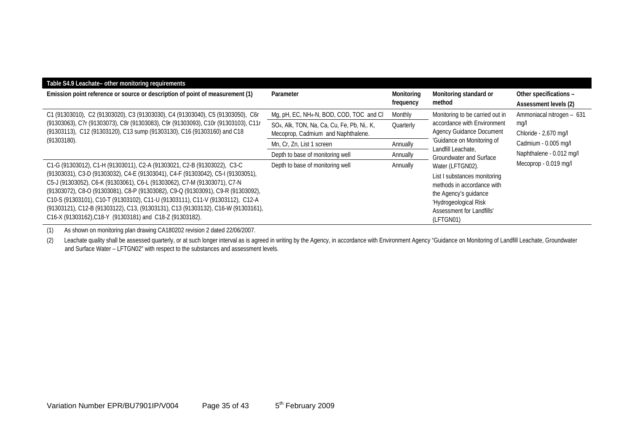| Table S4.9 Leachate- other monitoring requirements<br>Emission point reference or source or description of point of measurement (1)                                                                                                                                                                                                                                                                                                                                                                                                                        | Parameter                                                                                                                                            | Monitoring<br>frequency | Monitoring standard or<br>method                                                                                                                                           | Other specifications -<br>Assessment levels (2)                                                                |
|------------------------------------------------------------------------------------------------------------------------------------------------------------------------------------------------------------------------------------------------------------------------------------------------------------------------------------------------------------------------------------------------------------------------------------------------------------------------------------------------------------------------------------------------------------|------------------------------------------------------------------------------------------------------------------------------------------------------|-------------------------|----------------------------------------------------------------------------------------------------------------------------------------------------------------------------|----------------------------------------------------------------------------------------------------------------|
| C1 (91303010), C2 (91303020), C3 (91303030), C4 (91303040), C5 (91303050), C6r<br>(91303063), C7r (91303073), C8r (91303083), C9r (91303093), C10r (91303103), C11r<br>(91303113), C12 (91303120), C13 sump (91303130), C16 (91303160) and C18                                                                                                                                                                                                                                                                                                             | Mg, pH, EC, NH <sub>4</sub> -N, BOD, COD, TOC and CI<br>SO <sub>4</sub> , Alk, TON, Na, Ca, Cu, Fe, Pb, Ni, K,<br>Mecoprop, Cadmium and Naphthalene. | Monthly<br>Quarterly    | Monitoring to be carried out in<br>accordance with Environment<br>Agency Guidance Document                                                                                 | Ammoniacal nitrogen - 631<br>mg/l<br>Chloride - 2,670 mg/l<br>Cadmium - 0.005 mg/l<br>Naphthalene - 0.012 mg/l |
| $(91303180)$ .                                                                                                                                                                                                                                                                                                                                                                                                                                                                                                                                             | Mn, Cr, Zn, List 1 screen<br>Depth to base of monitoring well                                                                                        | Annually<br>Annually    | 'Guidance on Monitoring of<br>Landfill Leachate.<br>Groundwater and Surface                                                                                                |                                                                                                                |
| C1-G (91303012), C1-H (91303011), C2-A (91303021, C2-B (91303022), C3-C<br>(91303031), C3-D (91303032), C4-E (91303041), C4-F (91303042), C5-I (91303051),<br>C5-J (91303052), C6-K (91303061), C6-L (91303062), C7-M (91303071), C7-N<br>(91303072), C8-O (91303081), C8-P (91303082), C9-Q (91303091), C9-R (91303092),<br>C10-S (91303101), C10-T (91303102), C11-U (91303111), C11-V (91303112), C12-A<br>(91303121), C12-B (91303122), C13, (91303131), C13 (91303132), C16-W (91303161),<br>C16-X (91303162), C18-Y (91303181) and C18-Z (91303182). | Depth to base of monitoring well                                                                                                                     | Annually                | Water (LFTGN02).<br>List I substances monitoring<br>methods in accordance with<br>the Agency's guidance<br>'Hydrogeological Risk<br>Assessment for Landfills'<br>(LFTGN01) | Mecoprop - 0.019 mg/l                                                                                          |

(1) As shown on monitoring plan drawing CA180202 revision 2 dated 22/06/2007.

(2) Leachate quality shall be assessed quarterly, or at such longer interval as is agreed in writing by the Agency, in accordance with Environment Agency "Guidance on Monitoring of Landfill Leachate, Groundwater and Surface Water – LFTGN02" with respect to the substances and assessment levels.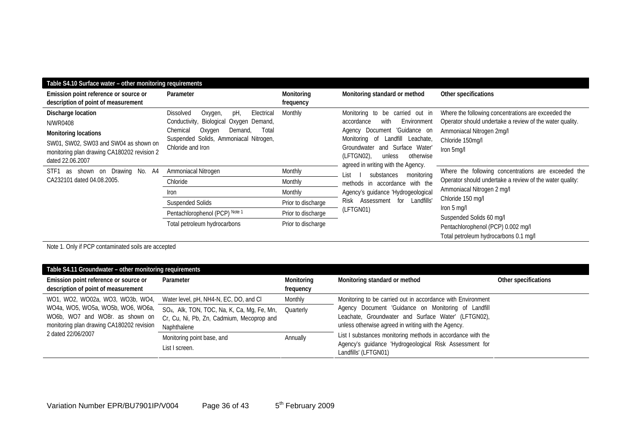| Table S4.10 Surface water - other monitoring requirements                                                                                                                 |                                                                                                                                                                                                            |                         |                                                                                                                                                                                                                                                                   |                                                                                                                                                                                |  |  |  |
|---------------------------------------------------------------------------------------------------------------------------------------------------------------------------|------------------------------------------------------------------------------------------------------------------------------------------------------------------------------------------------------------|-------------------------|-------------------------------------------------------------------------------------------------------------------------------------------------------------------------------------------------------------------------------------------------------------------|--------------------------------------------------------------------------------------------------------------------------------------------------------------------------------|--|--|--|
| Emission point reference or source or<br>description of point of measurement                                                                                              | Parameter                                                                                                                                                                                                  | Monitoring<br>frequency | Monitoring standard or method                                                                                                                                                                                                                                     | Other specifications                                                                                                                                                           |  |  |  |
| Discharge location<br>N/WR0408<br><b>Monitoring locations</b><br>SW01, SW02, SW03 and SW04 as shown on<br>monitoring plan drawing CA180202 revision 2<br>dated 22.06.2007 | pH,<br><b>Dissolved</b><br>Electrical<br>Oxygen,<br>Conductivity, Biological<br>Demand,<br>Oxygen<br>Demand,<br>Total<br>Oxygen<br>Chemical<br>Suspended Solids, Ammoniacal Nitrogen,<br>Chloride and Iron | Monthly                 | Monitoring to be carried out in<br>Environment<br>accordance<br>with<br>Document 'Guidance on<br>Agency<br>Landfill<br>Monitoring of<br>Leachate,<br>Groundwater<br>and Surface Water'<br>(LFTGN02),<br>otherwise<br>unless<br>agreed in writing with the Agency. | Where the following concentrations are exceeded the<br>Operator should undertake a review of the water quality.<br>Ammoniacal Nitrogen 2mg/l<br>Chloride 150mg/l<br>Iron 5mg/I |  |  |  |
| No.<br>- A4<br>STF1<br>Drawing<br>shown<br>as<br>on                                                                                                                       | Ammoniacal Nitrogen                                                                                                                                                                                        | Monthly                 | substances<br>monitoring<br>List                                                                                                                                                                                                                                  | Where the following concentrations are exceeded the                                                                                                                            |  |  |  |
| CA232101 dated 04.08.2005.                                                                                                                                                | Chloride                                                                                                                                                                                                   | <b>Monthly</b>          | methods in accordance with the<br>Ammoniacal Nitrogen 2 mg/l<br>Agency's guidance 'Hydrogeological                                                                                                                                                                | Operator should undertake a review of the water quality:                                                                                                                       |  |  |  |
|                                                                                                                                                                           | Iron                                                                                                                                                                                                       | Monthly                 |                                                                                                                                                                                                                                                                   |                                                                                                                                                                                |  |  |  |
|                                                                                                                                                                           | <b>Suspended Solids</b>                                                                                                                                                                                    | Prior to discharge      | for<br>Landfills'<br>Assessment<br><b>Risk</b>                                                                                                                                                                                                                    | Chloride 150 mg/l                                                                                                                                                              |  |  |  |
|                                                                                                                                                                           | Pentachlorophenol (PCP) Note 1                                                                                                                                                                             | Prior to discharge      | Iron $5 \text{ m}$<br>(LFTGN01)                                                                                                                                                                                                                                   | Suspended Solids 60 mg/l                                                                                                                                                       |  |  |  |
|                                                                                                                                                                           | Total petroleum hydrocarbons                                                                                                                                                                               | Prior to discharge      |                                                                                                                                                                                                                                                                   | Pentachlorophenol (PCP) 0.002 mg/l<br>Total petroleum hydrocarbons 0.1 mg/l                                                                                                    |  |  |  |

Note 1. Only if PCP contaminated soils are accepted

| Table S4.11 Groundwater - other monitoring requirements                                                                                                                     |                                                                                                                               |                         |                                                                                                                                                                   |                      |  |  |
|-----------------------------------------------------------------------------------------------------------------------------------------------------------------------------|-------------------------------------------------------------------------------------------------------------------------------|-------------------------|-------------------------------------------------------------------------------------------------------------------------------------------------------------------|----------------------|--|--|
| Emission point reference or source or<br>description of point of measurement                                                                                                | Parameter                                                                                                                     | Monitoring<br>frequency | Monitoring standard or method                                                                                                                                     | Other specifications |  |  |
| WO1, WO2, WO02a, WO3, WO3b, WO4,<br>WO4a, WO5, WO5a, WO5b, WO6, WO6a,<br>WO6b, WO7 and WO8r. as shown on<br>monitoring plan drawing CA180202 revision<br>2 dated 22/06/2007 | Water level, pH, NH4-N, EC, DO, and CI                                                                                        | Monthly                 | Monitoring to be carried out in accordance with Environment                                                                                                       |                      |  |  |
|                                                                                                                                                                             | SO <sub>4</sub> , Alk, TON, TOC, Na, K, Ca, Mg, Fe, Mn, Quarterly<br>Cr, Cu, Ni, Pb, Zn, Cadmium, Mecoprop and<br>Naphthalene |                         | Agency Document 'Guidance on Monitoring of Landfill<br>Leachate, Groundwater and Surface Water' (LFTGN02),<br>unless otherwise agreed in writing with the Agency. |                      |  |  |
|                                                                                                                                                                             | Monitoring point base, and<br>List I screen.                                                                                  | Annually                | List I substances monitoring methods in accordance with the<br>Agency's guidance 'Hydrogeological Risk Assessment for<br>Landfills' (LFTGN01)                     |                      |  |  |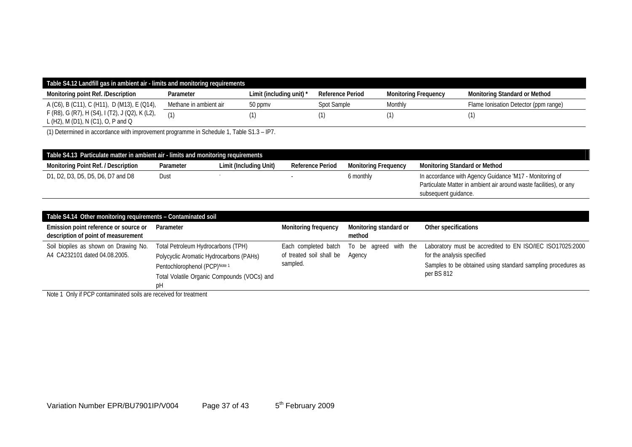| Table S4.12 Landfill gas in ambient air - limits and monitoring requirements          |                        |                          |                         |                             |                                       |  |
|---------------------------------------------------------------------------------------|------------------------|--------------------------|-------------------------|-----------------------------|---------------------------------------|--|
| Monitoring point Ref. /Description                                                    | Parameter              | Limit (including unit) * | <b>Reference Period</b> | <b>Monitoring Frequency</b> | <b>Monitoring Standard or Method</b>  |  |
| A (C6), B (C11), C (H11), D (M13), E (Q14),                                           | Methane in ambient air | 50 ppmy                  | Spot Sample             | Monthly                     | Flame Ionisation Detector (ppm range) |  |
| F (R8), G (R7), H (S4), I (T2), J (Q2), K (L2),<br>L (H2), M (D1), N (C1), O, P and Q | (1)                    |                          |                         |                             |                                       |  |

(1) Determined in accordance with improvement programme in Schedule 1, Table S1.3 – IP7.

| Table S4.13 Particulate matter in ambient air - limits and monitoring requirements |           |                        |                         |                             |                                                                    |  |  |
|------------------------------------------------------------------------------------|-----------|------------------------|-------------------------|-----------------------------|--------------------------------------------------------------------|--|--|
| Monitoring Point Ref. / Description                                                | Parameter | Limit (Including Unit) | <b>Reference Period</b> | <b>Monitoring Freguency</b> | Monitoring Standard or Method                                      |  |  |
| D1, D2, D3, D5, D5, D6, D7 and D8                                                  | Dust      |                        |                         | 6 monthly                   | In accordance with Agency Guidance 'M17 - Monitoring of            |  |  |
|                                                                                    |           |                        |                         |                             | Particulate Matter in ambient air around waste facilities), or any |  |  |
|                                                                                    |           |                        |                         |                             | subsequent guidance.                                               |  |  |

| Table S4.14 Other monitoring requirements - Contaminated soil                |                                                                                                                                                                     |                                                              |                                  |                                                                                                                                                                       |
|------------------------------------------------------------------------------|---------------------------------------------------------------------------------------------------------------------------------------------------------------------|--------------------------------------------------------------|----------------------------------|-----------------------------------------------------------------------------------------------------------------------------------------------------------------------|
| Emission point reference or source or<br>description of point of measurement | Parameter                                                                                                                                                           | <b>Monitoring frequency</b>                                  | Monitoring standard or<br>method | Other specifications                                                                                                                                                  |
| Soil biopiles as shown on Drawing No.<br>A4 CA232101 dated 04.08.2005.       | Total Petroleum Hydrocarbons (TPH)<br>Polycyclic Aromatic Hydrocarbons (PAHs)<br>Pentochlorophenol (PCP)Note 1<br>Total Volatile Organic Compounds (VOCs) and<br>ŊΗ | Each completed batch<br>of treated soil shall be<br>sampled. | To be agreed with the<br>Agency  | Laboratory must be accredited to EN ISO/IEC ISO17025:2000<br>for the analysis specified<br>Samples to be obtained using standard sampling procedures as<br>per BS 812 |

Note 1 Only if PCP contaminated soils are received for treatment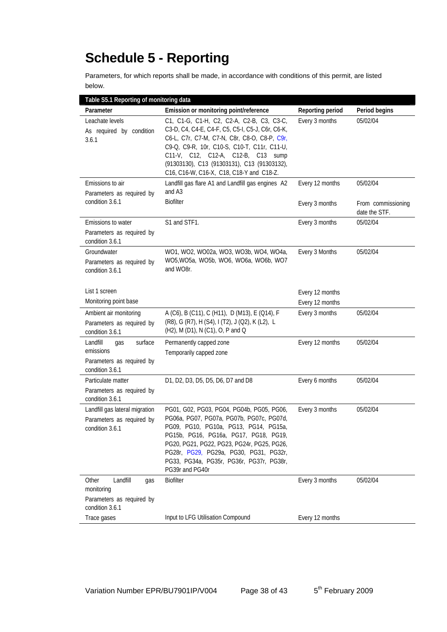## **Schedule 5 - Reporting**

Parameters, for which reports shall be made, in accordance with conditions of this permit, are listed below.

| Table S5.1 Reporting of monitoring data                                                 |                                                                                                                                                                                                                                                                                                                                |                         |                                     |
|-----------------------------------------------------------------------------------------|--------------------------------------------------------------------------------------------------------------------------------------------------------------------------------------------------------------------------------------------------------------------------------------------------------------------------------|-------------------------|-------------------------------------|
| Parameter                                                                               | Emission or monitoring point/reference                                                                                                                                                                                                                                                                                         | <b>Reporting period</b> | Period begins                       |
| Leachate levels<br>As required by condition<br>3.6.1                                    | C1, C1-G, C1-H, C2, C2-A, C2-B, C3, C3-C,<br>C3-D, C4, C4-E, C4-F, C5, C5-I, C5-J, C6r, C6-K,<br>C6-L, C7r, C7-M, C7-N, C8r, C8-O, C8-P, C9r,<br>C9-Q, C9-R, 10r, C10-S, C10-T, C11r, C11-U,<br>C11-V, C12, C12-A, C12-B, C13 sump<br>(91303130), C13 (91303131), C13 (91303132),<br>C16, C16-W, C16-X, C18, C18-Y and C18-Z.  | Every 3 months          | 05/02/04                            |
| Emissions to air                                                                        | Landfill gas flare A1 and Landfill gas engines A2                                                                                                                                                                                                                                                                              | Every 12 months         | 05/02/04                            |
| Parameters as required by<br>condition 3.6.1                                            | and A3<br><b>Biofilter</b>                                                                                                                                                                                                                                                                                                     | Every 3 months          | From commissioning<br>date the STF. |
| Emissions to water                                                                      | S1 and STF1.                                                                                                                                                                                                                                                                                                                   | Every 3 months          | 05/02/04                            |
| Parameters as required by<br>condition 3.6.1                                            |                                                                                                                                                                                                                                                                                                                                |                         |                                     |
| Groundwater<br>Parameters as required by<br>condition 3.6.1                             | WO1, WO2, WO02a, WO3, WO3b, WO4, WO4a,<br>WO5, WO5a, WO5b, WO6, WO6a, WO6b, WO7<br>and WO8r.                                                                                                                                                                                                                                   | Every 3 Months          | 05/02/04                            |
| List 1 screen                                                                           |                                                                                                                                                                                                                                                                                                                                | Every 12 months         |                                     |
| Monitoring point base                                                                   |                                                                                                                                                                                                                                                                                                                                | Every 12 months         |                                     |
| Ambient air monitoring<br>Parameters as required by<br>condition 3.6.1                  | A (C6), B (C11), C (H11), D (M13), E (Q14), F<br>(R8), G (R7), H (S4), I (T2), J (Q2), K (L2), L<br>(H2), M (D1), N (C1), O, P and Q                                                                                                                                                                                           | Every 3 months          | 05/02/04                            |
| surface<br>Landfill<br>gas<br>emissions<br>Parameters as required by<br>condition 3.6.1 | Permanently capped zone<br>Temporarily capped zone                                                                                                                                                                                                                                                                             | Every 12 months         | 05/02/04                            |
| Particulate matter<br>Parameters as required by<br>condition 3.6.1                      | D1, D2, D3, D5, D5, D6, D7 and D8                                                                                                                                                                                                                                                                                              | Every 6 months          | 05/02/04                            |
| Landfill gas lateral migration<br>Parameters as required by<br>condition 3.6.1          | PG01, G02, PG03, PG04, PG04b, PG05, PG06,<br>PG06a, PG07, PG07a, PG07b, PG07c, PG07d,<br>PG09, PG10, PG10a, PG13, PG14, PG15a,<br>PG15b, PG16, PG16a, PG17, PG18, PG19,<br>PG20, PG21, PG22, PG23, PG24r, PG25, PG26,<br>PG28r, PG29, PG29a, PG30, PG31, PG32r,<br>PG33, PG34a, PG35r, PG36r, PG37r, PG38r,<br>PG39r and PG40r | Every 3 months          | 05/02/04                            |
| Other<br>Landfill<br>gas<br>monitoring<br>Parameters as required by<br>condition 3.6.1  | <b>Biofilter</b>                                                                                                                                                                                                                                                                                                               | Every 3 months          | 05/02/04                            |
| Trace gases                                                                             | Input to LFG Utilisation Compound                                                                                                                                                                                                                                                                                              | Every 12 months         |                                     |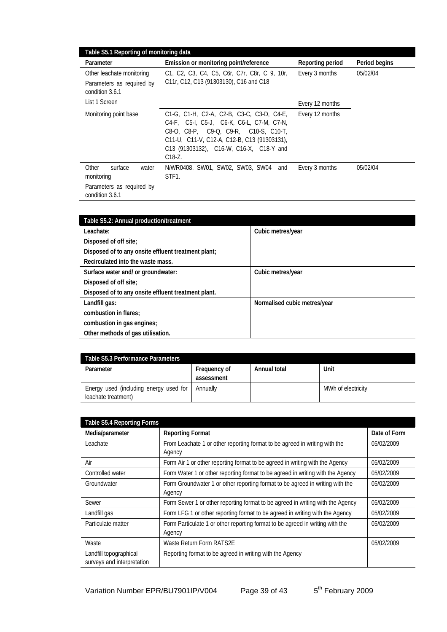| Table S5.1 Reporting of monitoring data                                                 |                                                                                                                                                                                                                                       |                  |               |
|-----------------------------------------------------------------------------------------|---------------------------------------------------------------------------------------------------------------------------------------------------------------------------------------------------------------------------------------|------------------|---------------|
| Parameter                                                                               | Emission or monitoring point/reference                                                                                                                                                                                                | Reporting period | Period begins |
| Other leachate monitoring<br>Parameters as required by<br>condition 3.6.1               | C1, C2, C3, C4, C5, C6r, C7r, C8r, C 9, 10r,<br>C11r, C12, C13 (91303130), C16 and C18                                                                                                                                                | Every 3 months   | 05/02/04      |
| List 1 Screen                                                                           |                                                                                                                                                                                                                                       | Every 12 months  |               |
| Monitoring point base                                                                   | C1-G, C1-H, C2-A, C2-B, C3-C, C3-D, C4-E,<br>C4-F, C5-I, C5-J, C6-K, C6-L, C7-M, C7-N,<br>C8-O, C8-P, C9-Q, C9-R, C10-S, C10-T,<br>C11-U, C11-V, C12-A, C12-B, C13 (91303131),<br>C13 (91303132), C16-W, C16-X, C18-Y and<br>$C18-Z.$ | Every 12 months  |               |
| Other<br>surface<br>water<br>monitoring<br>Parameters as required by<br>condition 3.6.1 | N/WR0408, SW01, SW02, SW03, SW04 and<br>STF <sub>1</sub>                                                                                                                                                                              | Every 3 months   | 05/02/04      |

| Table S5.2: Annual production/treatment             |                              |  |
|-----------------------------------------------------|------------------------------|--|
| Leachate:                                           | Cubic metres/year            |  |
| Disposed of off site;                               |                              |  |
| Disposed of to any onsite effluent treatment plant; |                              |  |
| Recirculated into the waste mass.                   |                              |  |
| Surface water and/or groundwater:                   | Cubic metres/year            |  |
| Disposed of off site;                               |                              |  |
| Disposed of to any onsite effluent treatment plant. |                              |  |
| Landfill gas:                                       | Normalised cubic metres/year |  |
| combustion in flares:                               |                              |  |
| combustion in gas engines;                          |                              |  |
| Other methods of gas utilisation.                   |                              |  |

| Table S5.3 Performance Parameters                             |                            |              |                    |
|---------------------------------------------------------------|----------------------------|--------------|--------------------|
| Parameter                                                     | Frequency of<br>assessment | Annual total | Unit               |
| Energy used (including energy used for<br>leachate treatment) | Annually                   |              | MWh of electricity |

| Table S5.4 Reporting Forms                           |                                                                                         |              |
|------------------------------------------------------|-----------------------------------------------------------------------------------------|--------------|
| Media/parameter                                      | <b>Reporting Format</b>                                                                 | Date of Form |
| Leachate                                             | From Leachate 1 or other reporting format to be agreed in writing with the<br>Agency    | 05/02/2009   |
| Air                                                  | Form Air 1 or other reporting format to be agreed in writing with the Agency            | 05/02/2009   |
| Controlled water                                     | Form Water 1 or other reporting format to be agreed in writing with the Agency          | 05/02/2009   |
| Groundwater                                          | Form Groundwater 1 or other reporting format to be agreed in writing with the<br>Agency | 05/02/2009   |
| Sewer                                                | Form Sewer 1 or other reporting format to be agreed in writing with the Agency          | 05/02/2009   |
| Landfill gas                                         | Form LFG 1 or other reporting format to be agreed in writing with the Agency            | 05/02/2009   |
| Particulate matter                                   | Form Particulate 1 or other reporting format to be agreed in writing with the<br>Agency | 05/02/2009   |
| Waste                                                | Waste Return Form RATS2E                                                                | 05/02/2009   |
| Landfill topographical<br>surveys and interpretation | Reporting format to be agreed in writing with the Agency                                |              |

Variation Number EPR/BU7901IP/V004 Page 39 of 43 5<sup>th</sup> February 2009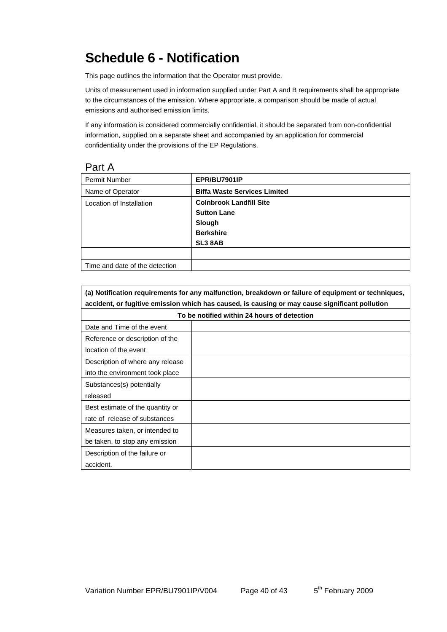# **Schedule 6 - Notification**

This page outlines the information that the Operator must provide.

Units of measurement used in information supplied under Part A and B requirements shall be appropriate to the circumstances of the emission. Where appropriate, a comparison should be made of actual emissions and authorised emission limits.

If any information is considered commercially confidential, it should be separated from non-confidential information, supplied on a separate sheet and accompanied by an application for commercial confidentiality under the provisions of the EP Regulations.

#### Part A

| <b>Permit Number</b>           | EPR/BU7901IP                        |
|--------------------------------|-------------------------------------|
| Name of Operator               | <b>Biffa Waste Services Limited</b> |
| Location of Installation       | <b>Colnbrook Landfill Site</b>      |
|                                | <b>Sutton Lane</b>                  |
|                                | Slough                              |
|                                | <b>Berkshire</b>                    |
|                                | SL3 8AB                             |
|                                |                                     |
| Time and date of the detection |                                     |

| (a) Notification requirements for any malfunction, breakdown or failure of equipment or techniques, |  |  |
|-----------------------------------------------------------------------------------------------------|--|--|
| accident, or fugitive emission which has caused, is causing or may cause significant pollution      |  |  |
| To be notified within 24 hours of detection                                                         |  |  |
| Date and Time of the event                                                                          |  |  |
| Reference or description of the                                                                     |  |  |
| location of the event                                                                               |  |  |
| Description of where any release                                                                    |  |  |
| into the environment took place                                                                     |  |  |
| Substances(s) potentially                                                                           |  |  |
| released                                                                                            |  |  |
| Best estimate of the quantity or                                                                    |  |  |
| rate of release of substances                                                                       |  |  |
| Measures taken, or intended to                                                                      |  |  |
| be taken, to stop any emission                                                                      |  |  |
| Description of the failure or                                                                       |  |  |
| accident.                                                                                           |  |  |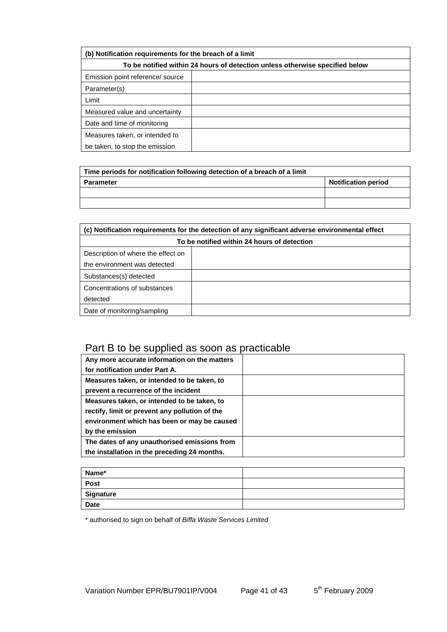| (b) Notification requirements for the breach of a limit                      |  |  |
|------------------------------------------------------------------------------|--|--|
| To be notified within 24 hours of detection unless otherwise specified below |  |  |
| Emission point reference/ source                                             |  |  |
| Parameter(s)                                                                 |  |  |
| Limit                                                                        |  |  |
| Measured value and uncertainty                                               |  |  |
| Date and time of monitoring                                                  |  |  |
| Measures taken, or intended to                                               |  |  |
| be taken, to stop the emission                                               |  |  |

| Time periods for notification following detection of a breach of a limit |                            |  |
|--------------------------------------------------------------------------|----------------------------|--|
| <b>Parameter</b>                                                         | <b>Notification period</b> |  |
|                                                                          |                            |  |
|                                                                          |                            |  |

| (c) Notification requirements for the detection of any significant adverse environmental effect |  |  |
|-------------------------------------------------------------------------------------------------|--|--|
| To be notified within 24 hours of detection                                                     |  |  |
| Description of where the effect on                                                              |  |  |
| the environment was detected                                                                    |  |  |
| Substances(s) detected                                                                          |  |  |
| Concentrations of substances                                                                    |  |  |
| detected                                                                                        |  |  |
| Date of monitoring/sampling                                                                     |  |  |

## Part B to be supplied as soon as practicable

| Any more accurate information on the matters<br>for notification under Part A.                                                                                  |  |
|-----------------------------------------------------------------------------------------------------------------------------------------------------------------|--|
| Measures taken, or intended to be taken, to<br>prevent a recurrence of the incident                                                                             |  |
| Measures taken, or intended to be taken, to<br>rectify, limit or prevent any pollution of the<br>environment which has been or may be caused<br>by the emission |  |
| The dates of any unauthorised emissions from<br>the installation in the preceding 24 months.                                                                    |  |

| Name*       |  |
|-------------|--|
| Post        |  |
| Signature   |  |
| <b>Date</b> |  |

\* authorised to sign on behalf of *Biffa Waste Services Limited*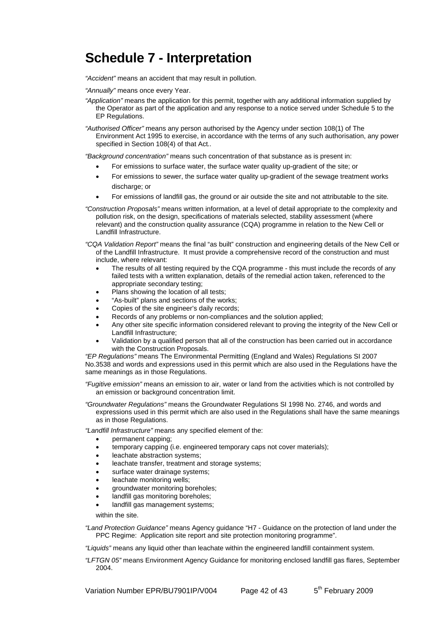## **Schedule 7 - Interpretation**

*"Accident"* means an accident that may result in pollution.

*"Annually"* means once every Year.

*"Application"* means the application for this permit, together with any additional information supplied by the Operator as part of the application and any response to a notice served under Schedule 5 to the EP Regulations.

*"Authorised Officer"* means any person authorised by the Agency under section 108(1) of The Environment Act 1995 to exercise, in accordance with the terms of any such authorisation, any power specified in Section 108(4) of that Act*..*

*"Background concentration"* means such concentration of that substance as is present in:

- For emissions to surface water, the surface water quality up-gradient of the site; or
- For emissions to sewer, the surface water quality up-gradient of the sewage treatment works discharge; or
- For emissions of landfill gas, the ground or air outside the site and not attributable to the site*.*
- *"Construction Proposals"* means written information, at a level of detail appropriate to the complexity and pollution risk, on the design, specifications of materials selected, stability assessment (where relevant) and the construction quality assurance (CQA) programme in relation to the New Cell or Landfill Infrastructure.
- *"CQA Validation Report"* means the final "as built" construction and engineering details of the New Cell or of the Landfill Infrastructure. It must provide a comprehensive record of the construction and must include, where relevant:
	- The results of all testing required by the CQA programme this must include the records of any failed tests with a written explanation, details of the remedial action taken, referenced to the appropriate secondary testing;
	- Plans showing the location of all tests;
	- "As-built" plans and sections of the works;
	- Copies of the site engineer's daily records;
	- Records of any problems or non-compliances and the solution applied;
	- Any other site specific information considered relevant to proving the integrity of the New Cell or Landfill Infrastructure;
	- Validation by a qualified person that all of the construction has been carried out in accordance with the Construction Proposals.

*"EP Regulations"* means The Environmental Permitting (England and Wales) Regulations SI 2007 No.3538 and words and expressions used in this permit which are also used in the Regulations have the same meanings as in those Regulations.

*"Fugitive emission"* means an emission to air, water or land from the activities which is not controlled by an emission or background concentration limit.

*"Groundwater Regulations"* means the Groundwater Regulations SI 1998 No. 2746, and words and expressions used in this permit which are also used in the Regulations shall have the same meanings as in those Regulations.

*"Landfill Infrastructure"* means any specified element of the:

- permanent capping;
- temporary capping (i.e. engineered temporary caps not cover materials);
- leachate abstraction systems:
- leachate transfer, treatment and storage systems;
- surface water drainage systems;
- leachate monitoring wells;
- groundwater monitoring boreholes;
- landfill gas monitoring boreholes;
- landfill gas management systems;

within the site.

*"Land Protection Guidance"* means Agency guidance "H7 - Guidance on the protection of land under the PPC Regime: Application site report and site protection monitoring programme".

*"Liquids"* means any liquid other than leachate within the engineered landfill containment system.

*"LFTGN 05"* means Environment Agency Guidance for monitoring enclosed landfill gas flares, September 2004.

Variation Number EPR/BU7901IP/V004 Page 42 of 43 5<sup>th</sup> February 2009